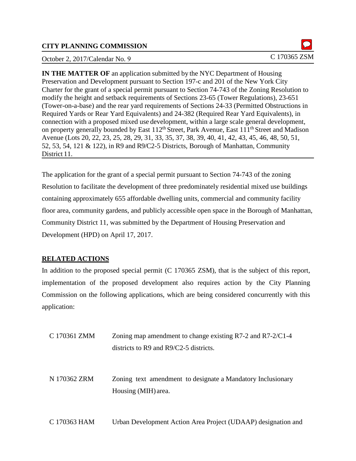## **CITY PLANNING COMMISSION**

October C 170365 ZSM 2, 2017/Calendar No. 9

**IN THE MATTER OF** an application submitted by the NYC Department of Housing Preservation and Development pursuant to Section 197-c and 201 of the New York City Charter for the grant of a special permit pursuant to Section 74-743 of the Zoning Resolution to modify the height and setback requirements of Sections 23-65 (Tower Regulations), 23-651 (Tower-on-a-base) and the rear yard requirements of Sections 24-33 (Permitted Obstructions in Required Yards or Rear Yard Equivalents) and 24-382 (Required Rear Yard Equivalents), in connection with a proposed mixed use development, within a large scale general development, on property generally bounded by East 112<sup>th</sup> Street, Park Avenue, East 111<sup>th</sup> Street and Madison Avenue (Lots 20, 22, 23, 25, 28, 29, 31, 33, 35, 37, 38, 39, 40, 41, 42, 43, 45, 46, 48, 50, 51, 52, 53, 54, 121 & 122), in R9 and R9/C2-5 Districts, Borough of Manhattan, Community District 11.

The application for the grant of a special permit pursuant to Section 74-743 of the zoning Resolution to facilitate the development of three predominately residential mixed use buildings containing approximately 655 affordable dwelling units, commercial and community facility floor area, community gardens, and publicly accessible open space in the Borough of Manhattan, Community District 11, was submitted by the Department of Housing Preservation and Development (HPD) on April 17, 2017.

## **RELATED ACTIONS**

In addition to the proposed special permit (C 170365 ZSM), that is the subject of this report, implementation of the proposed development also requires action by the City Planning Commission on the following applications, which are being considered concurrently with this application:

| C 170361 ZMM | Zoning map amendment to change existing $R7-2$ and $R7-2/C1-4$ |
|--------------|----------------------------------------------------------------|
|              | districts to R9 and $R9/C2-5$ districts.                       |

N 170362 ZRM Zoning text amendment to designate a Mandatory Inclusionary Housing (MIH) area.

C 170363 HAM Urban Development Action Area Project (UDAAP) designation and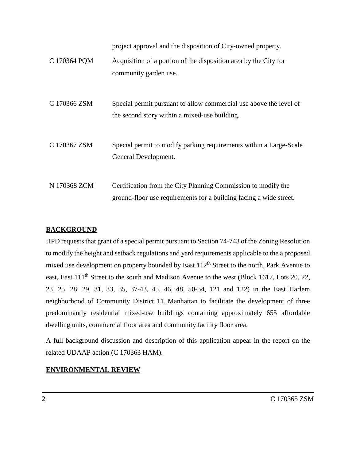|              | project approval and the disposition of City-owned property.                                                                        |
|--------------|-------------------------------------------------------------------------------------------------------------------------------------|
| C 170364 PQM | Acquisition of a portion of the disposition area by the City for<br>community garden use.                                           |
| C 170366 ZSM | Special permit pursuant to allow commercial use above the level of<br>the second story within a mixed-use building.                 |
| C 170367 ZSM | Special permit to modify parking requirements within a Large-Scale<br>General Development.                                          |
| N 170368 ZCM | Certification from the City Planning Commission to modify the<br>ground-floor use requirements for a building facing a wide street. |

## **BACKGROUND**

HPD requests that grant of a special permit pursuant to Section 74-743 of the Zoning Resolution to modify the height and setback regulations and yard requirements applicable to the a proposed mixed use development on property bounded by East 112<sup>th</sup> Street to the north, Park Avenue to east, East 111<sup>th</sup> Street to the south and Madison Avenue to the west (Block 1617, Lots 20, 22, 23, 25, 28, 29, 31, 33, 35, 37-43, 45, 46, 48, 50-54, 121 and 122) in the East Harlem neighborhood of Community District 11, Manhattan to facilitate the development of three predominantly residential mixed-use buildings containing approximately 655 affordable dwelling units, commercial floor area and community facility floor area.

A full background discussion and description of this application appear in the report on the related UDAAP action (C 170363 HAM).

## **ENVIRONMENTAL REVIEW**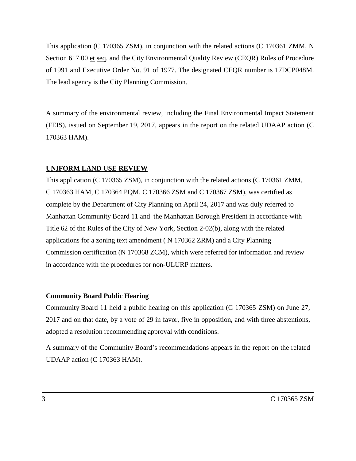This application (C 170365 ZSM), in conjunction with the related actions (C 170361 ZMM, N Section 617.00 et seq. and the City Environmental Quality Review (CEQR) Rules of Procedure of 1991 and Executive Order No. 91 of 1977. The designated CEQR number is 17DCP048M. The lead agency is the City Planning Commission.

A summary of the environmental review, including the Final Environmental Impact Statement (FEIS), issued on September 19, 2017, appears in the report on the related UDAAP action (C 170363 HAM).

## **UNIFORM LAND USE REVIEW**

This application (C 170365 ZSM), in conjunction with the related actions (C 170361 ZMM, C 170363 HAM, C 170364 PQM, C 170366 ZSM and C 170367 ZSM), was certified as complete by the Department of City Planning on April 24, 2017 and was duly referred to Manhattan Community Board 11 and the Manhattan Borough President in accordance with Title 62 of the Rules of the City of New York, Section 2-02(b), along with the related applications for a zoning text amendment ( N 170362 ZRM) and a City Planning Commission certification (N 170368 ZCM), which were referred for information and review in accordance with the procedures for non-ULURP matters.

## **Community Board Public Hearing**

Community Board 11 held a public hearing on this application (C 170365 ZSM) on June 27, 2017 and on that date, by a vote of 29 in favor, five in opposition, and with three abstentions, adopted a resolution recommending approval with conditions.

A summary of the Community Board's recommendations appears in the report on the related UDAAP action (C 170363 HAM).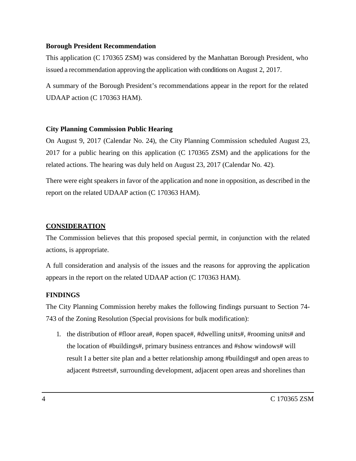### **Borough President Recommendation**

This application (C 170365 ZSM) was considered by the Manhattan Borough President, who issued a recommendation approving the application with conditions on August 2, 2017.

A summary of the Borough President's recommendations appear in the report for the related UDAAP action (C 170363 HAM).

## **City Planning Commission Public Hearing**

On August 9, 2017 (Calendar No. 24), the City Planning Commission scheduled August 23, 2017 for a public hearing on this application (C 170365 ZSM) and the applications for the related actions. The hearing was duly held on August 23, 2017 (Calendar No. 42).

There were eight speakers in favor of the application and none in opposition, as described in the report on the related UDAAP action (C 170363 HAM).

## **CONSIDERATION**

The Commission believes that this proposed special permit, in conjunction with the related actions, is appropriate.

A full consideration and analysis of the issues and the reasons for approving the application appears in the report on the related UDAAP action (C 170363 HAM).

## **FINDINGS**

The City Planning Commission hereby makes the following findings pursuant to Section 74- 743 of the Zoning Resolution (Special provisions for bulk modification):

1. the distribution of #floor area#, #open space#, #dwelling units#, #rooming units# and the location of #buildings#, primary business entrances and #show windows# will result I a better site plan and a better relationship among #buildings# and open areas to adjacent #streets#, surrounding development, adjacent open areas and shorelines than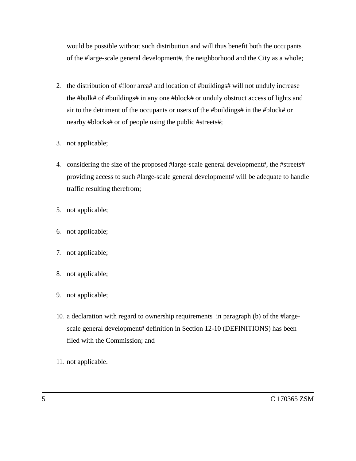would be possible without such distribution and will thus benefit both the occupants of the #large-scale general development#, the neighborhood and the City as a whole;

- 2. the distribution of #floor area# and location of #buildings# will not unduly increase the #bulk# of #buildings# in any one #block# or unduly obstruct access of lights and air to the detriment of the occupants or users of the #buildings# in the #block# or nearby #blocks# or of people using the public #streets#;
- 3. not applicable;
- 4. considering the size of the proposed #large-scale general development#, the #streets# providing access to such #large-scale general development# will be adequate to handle traffic resulting therefrom;
- 5. not applicable;
- 6. not applicable;
- 7. not applicable;
- 8. not applicable;
- 9. not applicable;
- 10. a declaration with regard to ownership requirements in paragraph (b) of the #largescale general development# definition in Section 12-10 (DEFINITIONS) has been filed with the Commission; and
- 11. not applicable.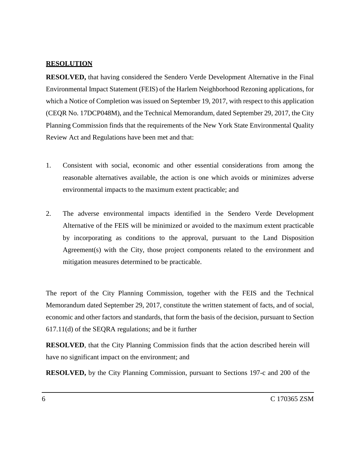### **RESOLUTION**

**RESOLVED,** that having considered the Sendero Verde Development Alternative in the Final Environmental Impact Statement (FEIS) of the Harlem Neighborhood Rezoning applications, for which a Notice of Completion was issued on September 19, 2017, with respect to this application (CEQR No. 17DCP048M), and the Technical Memorandum, dated September 29, 2017, the City Planning Commission finds that the requirements of the New York State Environmental Quality Review Act and Regulations have been met and that:

- 1. Consistent with social, economic and other essential considerations from among the reasonable alternatives available, the action is one which avoids or minimizes adverse environmental impacts to the maximum extent practicable; and
- 2. The adverse environmental impacts identified in the Sendero Verde Development Alternative of the FEIS will be minimized or avoided to the maximum extent practicable by incorporating as conditions to the approval, pursuant to the Land Disposition Agreement(s) with the City, those project components related to the environment and mitigation measures determined to be practicable.

The report of the City Planning Commission, together with the FEIS and the Technical Memorandum dated September 29, 2017, constitute the written statement of facts, and of social, economic and other factors and standards, that form the basis of the decision, pursuant to Section 617.11(d) of the SEQRA regulations; and be it further

**RESOLVED**, that the City Planning Commission finds that the action described herein will have no significant impact on the environment; and

**RESOLVED,** by the City Planning Commission, pursuant to Sections 197-c and 200 of the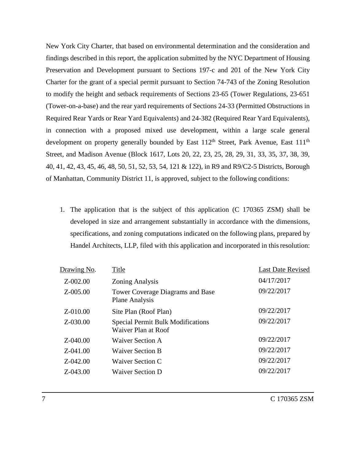New York City Charter, that based on environmental determination and the consideration and findings described in this report, the application submitted by the NYC Department of Housing Preservation and Development pursuant to Sections 197-c and 201 of the New York City Charter for the grant of a special permit pursuant to Section 74-743 of the Zoning Resolution to modify the height and setback requirements of Sections 23-65 (Tower Regulations, 23-651 (Tower-on-a-base) and the rear yard requirements of Sections 24-33 (Permitted Obstructions in Required Rear Yards or Rear Yard Equivalents) and 24-382 (Required Rear Yard Equivalents), in connection with a proposed mixed use development, within a large scale general development on property generally bounded by East  $112<sup>th</sup>$  Street, Park Avenue, East  $111<sup>th</sup>$ Street, and Madison Avenue (Block 1617, Lots 20, 22, 23, 25, 28, 29, 31, 33, 35, 37, 38, 39, 40, 41, 42, 43, 45, 46, 48, 50, 51, 52, 53, 54, 121 & 122), in R9 and R9/C2-5 Districts, Borough of Manhattan, Community District 11, is approved, subject to the following conditions:

1. The application that is the subject of this application (C 170365 ZSM) shall be developed in size and arrangement substantially in accordance with the dimensions, specifications, and zoning computations indicated on the following plans, prepared by Handel Architects, LLP, filed with this application and incorporated in thisresolution:

| Drawing No.  | Title                                                            | <b>Last Date Revised</b> |
|--------------|------------------------------------------------------------------|--------------------------|
| $Z - 002.00$ | <b>Zoning Analysis</b>                                           | 04/17/2017               |
| $Z - 005.00$ | <b>Tower Coverage Diagrams and Base</b><br><b>Plane Analysis</b> | 09/22/2017               |
| $Z - 010.00$ | Site Plan (Roof Plan)                                            | 09/22/2017               |
| $Z - 030.00$ | <b>Special Permit Bulk Modifications</b><br>Waiver Plan at Roof  | 09/22/2017               |
| $Z - 040.00$ | <b>Waiver Section A</b>                                          | 09/22/2017               |
| $Z - 041.00$ | <b>Waiver Section B</b>                                          | 09/22/2017               |
| $Z - 042.00$ | Waiver Section C                                                 | 09/22/2017               |
| $Z - 043.00$ | <b>Waiver Section D</b>                                          | 09/22/2017               |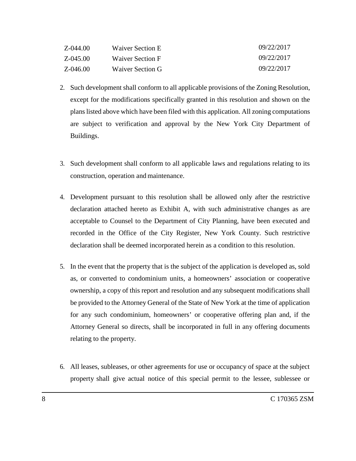| Z-044.00 | Waiver Section E | 09/22/2017 |
|----------|------------------|------------|
| Z-045.00 | Waiver Section F | 09/22/2017 |
| Z-046.00 | Waiver Section G | 09/22/2017 |

- 2. Such development shall conform to all applicable provisions of the Zoning Resolution, except for the modifications specifically granted in this resolution and shown on the plans listed above which have been filed with this application. All zoning computations are subject to verification and approval by the New York City Department of Buildings.
- 3. Such development shall conform to all applicable laws and regulations relating to its construction, operation and maintenance.
- 4. Development pursuant to this resolution shall be allowed only after the restrictive declaration attached hereto as Exhibit A, with such administrative changes as are acceptable to Counsel to the Department of City Planning, have been executed and recorded in the Office of the City Register, New York County. Such restrictive declaration shall be deemed incorporated herein as a condition to this resolution.
- 5. In the event that the property that is the subject of the application is developed as, sold as, or converted to condominium units, a homeowners' association or cooperative ownership, a copy of this report and resolution and any subsequent modifications shall be provided to the Attorney General of the State of New York at the time of application for any such condominium, homeowners' or cooperative offering plan and, if the Attorney General so directs, shall be incorporated in full in any offering documents relating to the property.
- 6. All leases, subleases, or other agreements for use or occupancy of space at the subject property shall give actual notice of this special permit to the lessee, sublessee or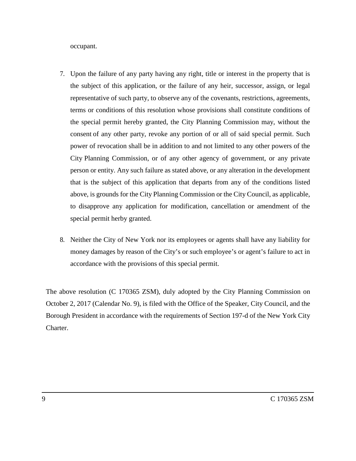occupant.

- 7. Upon the failure of any party having any right, title or interest in the property that is the subject of this application, or the failure of any heir, successor, assign, or legal representative of such party, to observe any of the covenants, restrictions, agreements, terms or conditions of this resolution whose provisions shall constitute conditions of the special permit hereby granted, the City Planning Commission may, without the consent of any other party, revoke any portion of or all of said special permit. Such power of revocation shall be in addition to and not limited to any other powers of the City Planning Commission, or of any other agency of government, or any private person or entity. Any such failure as stated above, or any alteration in the development that is the subject of this application that departs from any of the conditions listed above, is grounds for the City Planning Commission or the City Council, as applicable, to disapprove any application for modification, cancellation or amendment of the special permit herby granted.
- 8. Neither the City of New York nor its employees or agents shall have any liability for money damages by reason of the City's or such employee's or agent's failure to act in accordance with the provisions of this special permit.

The above resolution (C 170365 ZSM), duly adopted by the City Planning Commission on October 2, 2017 (Calendar No. 9), is filed with the Office of the Speaker, City Council, and the Borough President in accordance with the requirements of Section 197-d of the New York City Charter.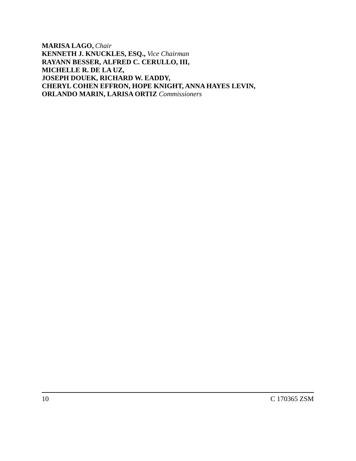**MARISA LAGO,** *Chair* **KENNETH J. KNUCKLES, ESQ.,** *Vice Chairman* **RAYANN BESSER, ALFRED C. CERULLO, III, MICHELLE R. DE LA UZ, JOSEPH DOUEK, RICHARD W. EADDY, CHERYL COHEN EFFRON, HOPE KNIGHT, ANNA HAYES LEVIN, ORLANDO MARIN, LARISA ORTIZ** *Commissioners*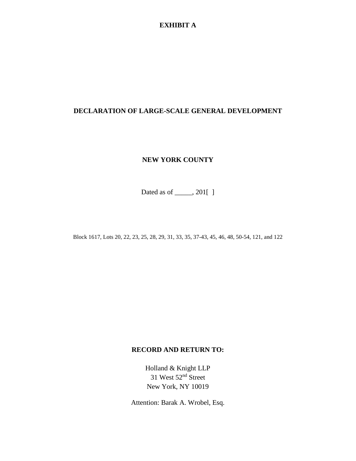### **EXHIBIT A**

#### **DECLARATION OF LARGE-SCALE GENERAL DEVELOPMENT**

### **NEW YORK COUNTY**

Dated as of \_\_\_\_\_, 201[ ]

Block 1617, Lots 20, 22, 23, 25, 28, 29, 31, 33, 35, 37-43, 45, 46, 48, 50-54, 121, and 122

### **RECORD AND RETURN TO:**

Holland & Knight LLP 31 West 52nd Street New York, NY 10019

Attention: Barak A. Wrobel, Esq.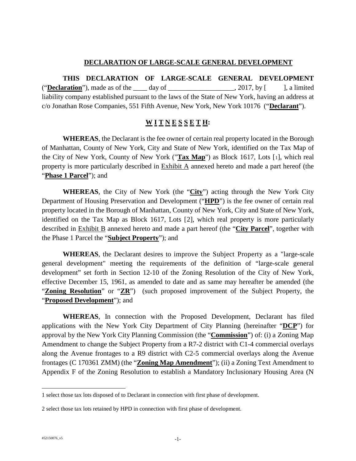### **DECLARATION OF LARGE-SCALE GENERAL DEVELOPMENT**

**THIS DECLARATION OF LARGE-SCALE GENERAL DEVELOPMENT**  ("**Declaration**"), made as of the  $\frac{day}{dx}$  of  $\frac{dy}{dx}$ , 2017, by [ ], a limited liability company established pursuant to the laws of the State of New York, having an address at c/o Jonathan Rose Companies, 551 Fifth Avenue, New York, New York 10176 ("**Declarant**").

## **W I T N E S S E T H:**

**WHEREAS**, the Declarant is the fee owner of certain real property located in the Borough of Manhattan, County of New York, City and State of New York, identified on the Tax Map of the City of New York, County of New York ("**Tax Map**") as Block 1617, Lots [[1\]](#page-11-0), which real property is more particularly described in Exhibit A annexed hereto and made a part hereof (the "**Phase 1 Parcel**"); and

**WHEREAS**, the City of New York (the "**City**") acting through the New York City Department of Housing Preservation and Development ("**HPD**") is the fee owner of certain real property located in the Borough of Manhattan, County of New York, City and State of New York, identified on the Tax Map as Block 1617, Lots [[2](#page-11-1)], which real property is more particularly described in Exhibit B annexed hereto and made a part hereof (the "**City Parcel**", together with the Phase 1 Parcel the "**Subject Property**"); and

**WHEREAS**, the Declarant desires to improve the Subject Property as a "large-scale general development" meeting the requirements of the definition of "large-scale general development" set forth in Section 12-10 of the Zoning Resolution of the City of New York, effective December 15, 1961, as amended to date and as same may hereafter be amended (the "**Zoning Resolution**" or "**ZR**") (such proposed improvement of the Subject Property, the "**Proposed Development**"); and

**WHEREAS**, In connection with the Proposed Development, Declarant has filed applications with the New York City Department of City Planning (hereinafter "**DCP**") for approval by the New York City Planning Commission (the "**Commission**") of: (i) a Zoning Map Amendment to change the Subject Property from a R7-2 district with C1-4 commercial overlays along the Avenue frontages to a R9 district with C2-5 commercial overlays along the Avenue frontages (C 170361 ZMM) (the "**Zoning Map Amendment**"); (ii) a Zoning Text Amendment to Appendix F of the Zoning Resolution to establish a Mandatory Inclusionary Housing Area (N

 $\overline{a}$ 

<span id="page-11-0"></span><sup>1</sup> select those tax lots disposed of to Declarant in connection with first phase of development.

<span id="page-11-1"></span><sup>2</sup> select those tax lots retained by HPD in connection with first phase of development.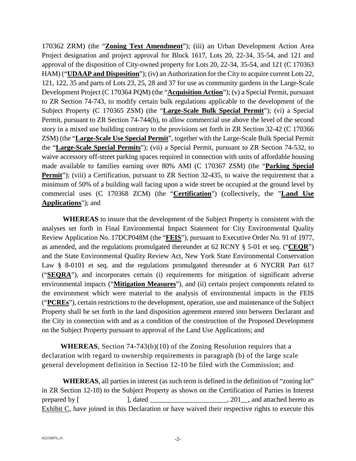170362 ZRM) (the "**Zoning Text Amendment**"); (iii) an Urban Development Action Area Project designation and project approval for Block 1617, Lots 20, 22-34, 35-54, and 121 and approval of the disposition of City-owned property for Lots 20, 22-34, 35-54, and 121 (C 170363 HAM) ("**UDAAP and Disposition**"); (iv) an Authorization for the City to acquire current Lots 22, 121, 122, 35 and parts of Lots 23, 25, 28 and 37 for use as community gardens in the Large-Scale Development Project (C 170364 PQM) (the "**Acquisition Action**"); (v) a Special Permit, pursuant to ZR Section 74-743, to modify certain bulk regulations applicable to the development of the Subject Property (C 170365 ZSM) (the "**Large-Scale Bulk Special Permit**"); (vi) a Special Permit, pursuant to ZR Section 74-744(b), to allow commercial use above the level of the second story in a mixed use building contrary to the provisions set forth in ZR Section 32-42 (C 170366 ZSM) (the "**Large-Scale Use Special Permit**", together with the Large-Scale Bulk Special Permit the "**Large-Scale Special Permits**"); (vii) a Special Permit, pursuant to ZR Section 74-532, to waive accessory off-street parking spaces required in connection with units of affordable housing made available to families earning over 80% AMI (C 170367 ZSM) (the "**Parking Special Permit**"); (viii) a Certification, pursuant to ZR Section 32-435, to waive the requirement that a minimum of 50% of a building wall facing upon a wide street be occupied at the ground level by commercial uses (C 170368 ZCM) (the "**Certification**") (collectively, the "**Land Use Applications**"); and

**WHEREAS** to insure that the development of the Subject Property is consistent with the analyses set forth in Final Environmental Impact Statement for City Environmental Quality Review Application No. 17DCP048M (the "**FEIS**"), pursuant to Executive Order No. 91 of 1977, as amended, and the regulations promulgated thereunder at 62 RCNY § 5-01 et seq. ("**CEQR**") and the State Environmental Quality Review Act, New York State Environmental Conservation Law § 8-0101 et seq. and the regulations promulgated thereunder at 6 NYCRR Part 617 ("**SEQRA**"), and incorporates certain (i) requirements for mitigation of significant adverse environmental impacts ("**Mitigation Measures**"), and (ii) certain project components related to the environment which were material to the analysis of environmental impacts in the FEIS ("**PCREs**"), certain restrictions to the development, operation, use and maintenance of the Subject Property shall be set forth in the land disposition agreement entered into between Declarant and the City in connection with and as a condition of the construction of the Proposed Development on the Subject Property pursuant to approval of the Land Use Applications; and

**WHEREAS**, Section 74-743(b)(10) of the Zoning Resolution requires that a declaration with regard to ownership requirements in paragraph (b) of the large scale general development definition in Section 12-10 be filed with the Commission; and

**WHEREAS**, all parties in interest (as such term is defined in the definition of "zoning lot" in ZR Section 12-10) to the Subject Property as shown on the Certification of Parties in Interest prepared by [ **]**, dated **1.** dated **1.**  $\frac{1}{201}$  **,** and attached hereto as Exhibit C, have joined in this Declaration or have waived their respective rights to execute this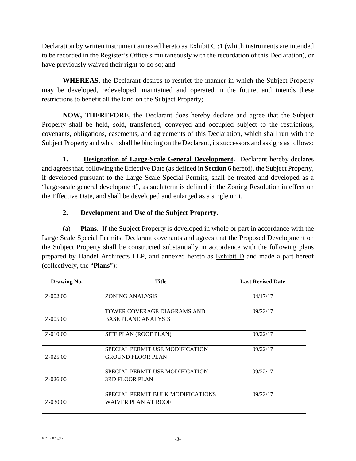Declaration by written instrument annexed hereto as Exhibit C :1 (which instruments are intended to be recorded in the Register's Office simultaneously with the recordation of this Declaration), or have previously waived their right to do so; and

**WHEREAS**, the Declarant desires to restrict the manner in which the Subject Property may be developed, redeveloped, maintained and operated in the future, and intends these restrictions to benefit all the land on the Subject Property;

**NOW, THEREFORE**, the Declarant does hereby declare and agree that the Subject Property shall be held, sold, transferred, conveyed and occupied subject to the restrictions, covenants, obligations, easements, and agreements of this Declaration, which shall run with the Subject Property and which shall be binding on the Declarant, its successors and assigns as follows:

**1. Designation of Large-Scale General Development.** Declarant hereby declares and agrees that, following the Effective Date (as defined in **Section 6** hereof), the Subject Property, if developed pursuant to the Large Scale Special Permits, shall be treated and developed as a "large-scale general development", as such term is defined in the Zoning Resolution in effect on the Effective Date, and shall be developed and enlarged as a single unit.

## **2. Development and Use of the Subject Property.**

(a) **Plans**. If the Subject Property is developed in whole or part in accordance with the Large Scale Special Permits, Declarant covenants and agrees that the Proposed Development on the Subject Property shall be constructed substantially in accordance with the following plans prepared by Handel Architects LLP, and annexed hereto as Exhibit D and made a part hereof (collectively, the "**Plans**"):

| Drawing No.  | Title                                                       | <b>Last Revised Date</b> |
|--------------|-------------------------------------------------------------|--------------------------|
| $Z - 002.00$ | <b>ZONING ANALYSIS</b>                                      | 04/17/17                 |
| $Z - 005.00$ | TOWER COVERAGE DIAGRAMS AND<br><b>BASE PLANE ANALYSIS</b>   | 09/22/17                 |
| Z-010.00     | SITE PLAN (ROOF PLAN)                                       | 09/22/17                 |
| $Z - 025.00$ | SPECIAL PERMIT USE MODIFICATION<br><b>GROUND FLOOR PLAN</b> | 09/22/17                 |
| $Z - 026.00$ | SPECIAL PERMIT USE MODIFICATION<br><b>3RD FLOOR PLAN</b>    | 09/22/17                 |
| $Z - 030.00$ | SPECIAL PERMIT BULK MODIFICATIONS<br>WAIVER PLAN AT ROOF    | 09/22/17                 |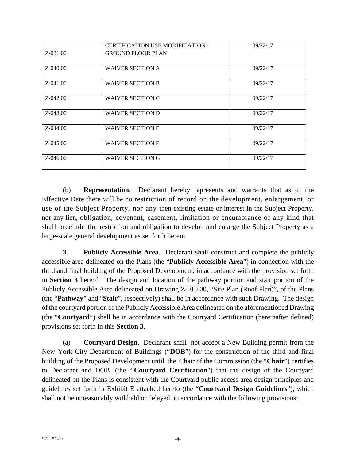| Z-031.00     | <b>CERTIFICATION USE MODIFICATION -</b><br><b>GROUND FLOOR PLAN</b> | 09/22/17 |
|--------------|---------------------------------------------------------------------|----------|
| Z-040.00     | WAIVER SECTION A                                                    | 09/22/17 |
| $Z - 041.00$ | <b>WAIVER SECTION B</b>                                             | 09/22/17 |
| $Z - 042.00$ | <b>WAIVER SECTION C</b>                                             | 09/22/17 |
| $Z - 043.00$ | <b>WAIVER SECTION D</b>                                             | 09/22/17 |
| $Z - 044.00$ | <b>WAIVER SECTION E</b>                                             | 09/22/17 |
| $Z - 045.00$ | <b>WAIVER SECTION F</b>                                             | 09/22/17 |
| $Z - 046.00$ | <b>WAIVER SECTION G</b>                                             | 09/22/17 |

(b) **Representation.** Declarant hereby represents and warrants that as of the Effective Date there will be no restriction of record on the development, enlargement, or use of the Subject Property, nor any then-existing estate or interest in the Subject Property, nor any lien, obligation, covenant, easement, limitation or encumbrance of any kind that shall preclude the restriction and obligation to develop and enlarge the Subject Property as a large-scale general development as set forth herein.

**3. Publicly Accessible Area**. Declarant shall construct and complete the publicly accessible area delineated on the Plans (the "**Publicly Accessible Area**") in connection with the third and final building of the Proposed Development, in accordance with the provision set forth in **Section 3** hereof. The design and location of the pathway portion and stair portion of the Publicly Accessible Area delineated on Drawing Z-010.00, "Site Plan (Roof Plan)", of the Plans (the "**Pathway**" and "**Stair**", respectively) shall be in accordance with such Drawing. The design of the courtyard portion of the Publicly Accessible Area delineated on the aforementioned Drawing (the "**Courtyard**") shall be in accordance with the Courtyard Certification (hereinafter defined) provisions set forth in this **Section 3**.

(a) **Courtyard Design**. Declarant shall not accept a New Building permit from the New York City Department of Buildings ("**DOB**") for the construction of the third and final building of the Proposed Development until the Chair of the Commission (the "**Chair**") certifies to Declarant and DOB (the " **Courtyard Certification**") that the design of the Courtyard delineated on the Plans is consistent with the Courtyard public access area design principles and guidelines set forth in Exhibit E attached hereto (the "**Courtyard Design Guidelines**"), which shall not be unreasonably withheld or delayed, in accordance with the following provisions: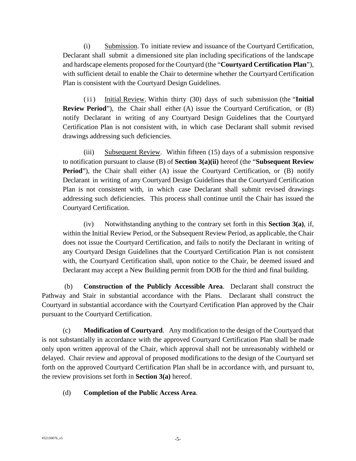(i) Submission. To initiate review and issuance of the Courtyard Certification, Declarant shall submit a dimensioned site plan including specifications of the landscape and hardscape elements proposed for the Courtyard (the "**Courtyard Certification Plan**"), with sufficient detail to enable the Chair to determine whether the Courtyard Certification Plan is consistent with the Courtyard Design Guidelines.

(ii) Initial Review. Within thirty (30) days of such submission (the "**Initial Review Period**"), the Chair shall either (A) issue the Courtyard Certification, or (B) notify Declarant in writing of any Courtyard Design Guidelines that the Courtyard Certification Plan is not consistent with, in which case Declarant shall submit revised drawings addressing such deficiencies.

(iii) Subsequent Review. Within fifteen (15) days of a submission responsive to notification pursuant to clause (B) of **Section 3(a)(ii)** hereof (the "**Subsequent Review Period**"), the Chair shall either (A) issue the Courtyard Certification, or (B) notify Declarant in writing of any Courtyard Design Guidelines that the Courtyard Certification Plan is not consistent with, in which case Declarant shall submit revised drawings addressing such deficiencies. This process shall continue until the Chair has issued the Courtyard Certification.

(iv) Notwithstanding anything to the contrary set forth in this **Section 3(a)**, if, within the Initial Review Period, or the Subsequent Review Period, as applicable, the Chair does not issue the Courtyard Certification, and fails to notify the Declarant in writing of any Courtyard Design Guidelines that the Courtyard Certification Plan is not consistent with, the Courtyard Certification shall, upon notice to the Chair, be deemed issued and Declarant may accept a New Building permit from DOB for the third and final building.

(b) **Construction of the Publicly Accessible Area**. Declarant shall construct the Pathway and Stair in substantial accordance with the Plans. Declarant shall construct the Courtyard in substantial accordance with the Courtyard Certification Plan approved by the Chair pursuant to the Courtyard Certification.

(c) **Modification of Courtyard**. Any modification to the design of the Courtyard that is not substantially in accordance with the approved Courtyard Certification Plan shall be made only upon written approval of the Chair, which approval shall not be unreasonably withheld or delayed. Chair review and approval of proposed modifications to the design of the Courtyard set forth on the approved Courtyard Certification Plan shall be in accordance with, and pursuant to, the review provisions set forth in **Section 3(a)** hereof.

## (d) **Completion of the Public Access Area**.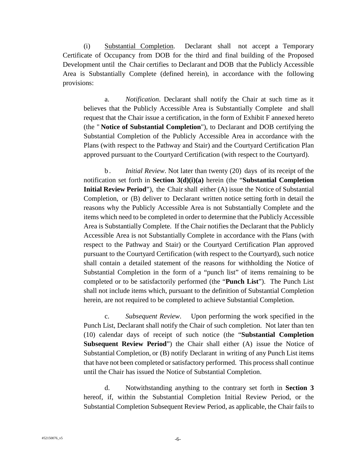(i) Substantial Completion. Declarant shall not accept a Temporary Certificate of Occupancy from DOB for the third and final building of the Proposed Development until the Chair certifies to Declarant and DOB that the Publicly Accessible Area is Substantially Complete (defined herein), in accordance with the following provisions:

a. *Notification*. Declarant shall notify the Chair at such time as it believes that the Publicly Accessible Area is Substantially Complete and shall request that the Chair issue a certification, in the form of Exhibit F annexed hereto (the " **Notice of Substantial Completion**"), to Declarant and DOB certifying the Substantial Completion of the Publicly Accessible Area in accordance with the Plans (with respect to the Pathway and Stair) and the Courtyard Certification Plan approved pursuant to the Courtyard Certification (with respect to the Courtyard).

b . *Initial Review*. Not later than twenty (20) days of its receipt of the notification set forth in **Section 3(d)(i)(a)** herein (the "**Substantial Completion Initial Review Period**"), the Chair shall either (A) issue the Notice of Substantial Completion, or (B) deliver to Declarant written notice setting forth in detail the reasons why the Publicly Accessible Area is not Substantially Complete and the items which need to be completed in order to determine that the Publicly Accessible Area is Substantially Complete. If the Chair notifies the Declarant that the Publicly Accessible Area is not Substantially Complete in accordance with the Plans (with respect to the Pathway and Stair) or the Courtyard Certification Plan approved pursuant to the Courtyard Certification (with respect to the Courtyard), such notice shall contain a detailed statement of the reasons for withholding the Notice of Substantial Completion in the form of a "punch list" of items remaining to be completed or to be satisfactorily performed (the "**Punch List**"). The Punch List shall not include items which, pursuant to the definition of Substantial Completion herein, are not required to be completed to achieve Substantial Completion.

c. *Subsequent Review*. Upon performing the work specified in the Punch List, Declarant shall notify the Chair of such completion. Not later than ten (10) calendar days of receipt of such notice (the "**Substantial Completion Subsequent Review Period**") the Chair shall either (A) issue the Notice of Substantial Completion, or (B) notify Declarant in writing of any Punch List items that have not been completed or satisfactory performed. This process shall continue until the Chair has issued the Notice of Substantial Completion.

d. Notwithstanding anything to the contrary set forth in **Section 3** hereof, if, within the Substantial Completion Initial Review Period, or the Substantial Completion Subsequent Review Period, as applicable, the Chair fails to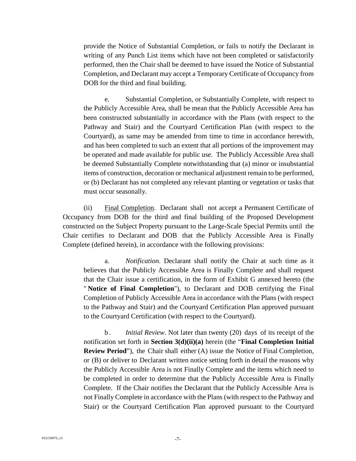provide the Notice of Substantial Completion, or fails to notify the Declarant in writing of any Punch List items which have not been completed or satisfactorily performed, then the Chair shall be deemed to have issued the Notice of Substantial Completion, and Declarant may accept a Temporary Certificate of Occupancy from DOB for the third and final building.

e. Substantial Completion, or Substantially Complete, with respect to the Publicly Accessible Area, shall be mean that the Publicly Accessible Area has been constructed substantially in accordance with the Plans (with respect to the Pathway and Stair) and the Courtyard Certification Plan (with respect to the Courtyard), as same may be amended from time to time in accordance herewith, and has been completed to such an extent that all portions of the improvement may be operated and made available for public use. The Publicly Accessible Area shall be deemed Substantially Complete notwithstanding that (a) minor or insubstantial items of construction, decoration or mechanical adjustment remain to be performed, or (b) Declarant has not completed any relevant planting or vegetation or tasks that must occur seasonally.

(ii) Final Completion. Declarant shall not accept a Permanent Certificate of Occupancy from DOB for the third and final building of the Proposed Development constructed on the Subject Property pursuant to the Large-Scale Special Permits until the Chair certifies to Declarant and DOB that the Publicly Accessible Area is Finally Complete (defined herein), in accordance with the following provisions:

a. *Notification*. Declarant shall notify the Chair at such time as it believes that the Publicly Accessible Area is Finally Complete and shall request that the Chair issue a certification, in the form of Exhibit G annexed hereto (the " **Notice of Final Completion**"), to Declarant and DOB certifying the Final Completion of Publicly Accessible Area in accordance with the Plans (with respect to the Pathway and Stair) and the Courtyard Certification Plan approved pursuant to the Courtyard Certification (with respect to the Courtyard).

b . *Initial Review*. Not later than twenty (20) days of its receipt of the notification set forth in **Section 3(d)(ii)(a)** herein (the "**Final Completion Initial Review Period**"), the Chair shall either (A) issue the Notice of Final Completion, or (B) or deliver to Declarant written notice setting forth in detail the reasons why the Publicly Accessible Area is not Finally Complete and the items which need to be completed in order to determine that the Publicly Accessible Area is Finally Complete. If the Chair notifies the Declarant that the Publicly Accessible Area is not Finally Complete in accordance with the Plans (with respect to the Pathway and Stair) or the Courtyard Certification Plan approved pursuant to the Courtyard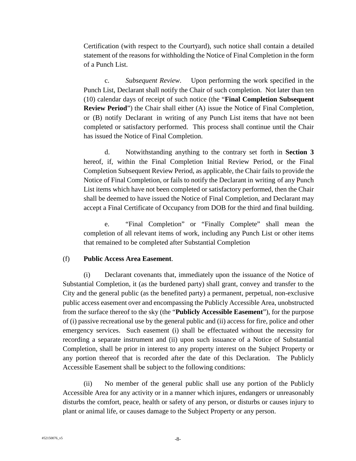Certification (with respect to the Courtyard), such notice shall contain a detailed statement of the reasons for withholding the Notice of Final Completion in the form of a Punch List.

c. *Subsequent Review*. Upon performing the work specified in the Punch List, Declarant shall notify the Chair of such completion. Not later than ten (10) calendar days of receipt of such notice (the "**Final Completion Subsequent Review Period**") the Chair shall either (A) issue the Notice of Final Completion, or (B) notify Declarant in writing of any Punch List items that have not been completed or satisfactory performed. This process shall continue until the Chair has issued the Notice of Final Completion.

d. Notwithstanding anything to the contrary set forth in **Section 3**  hereof, if, within the Final Completion Initial Review Period, or the Final Completion Subsequent Review Period, as applicable, the Chair fails to provide the Notice of Final Completion, or fails to notify the Declarant in writing of any Punch List items which have not been completed or satisfactory performed, then the Chair shall be deemed to have issued the Notice of Final Completion, and Declarant may accept a Final Certificate of Occupancy from DOB for the third and final building.

e. "Final Completion" or "Finally Complete" shall mean the completion of all relevant items of work, including any Punch List or other items that remained to be completed after Substantial Completion

### (f) **Public Access Area Easement**.

(i) Declarant covenants that, immediately upon the issuance of the Notice of Substantial Completion, it (as the burdened party) shall grant, convey and transfer to the City and the general public (as the benefited party) a permanent, perpetual, non-exclusive public access easement over and encompassing the Publicly Accessible Area, unobstructed from the surface thereof to the sky (the "**Publicly Accessible Easement**"), for the purpose of (i) passive recreational use by the general public and (ii) access for fire, police and other emergency services. Such easement (i) shall be effectuated without the necessity for recording a separate instrument and (ii) upon such issuance of a Notice of Substantial Completion, shall be prior in interest to any property interest on the Subject Property or any portion thereof that is recorded after the date of this Declaration. The Publicly Accessible Easement shall be subject to the following conditions:

(ii) No member of the general public shall use any portion of the Publicly Accessible Area for any activity or in a manner which injures, endangers or unreasonably disturbs the comfort, peace, health or safety of any person, or disturbs or causes injury to plant or animal life, or causes damage to the Subject Property or any person.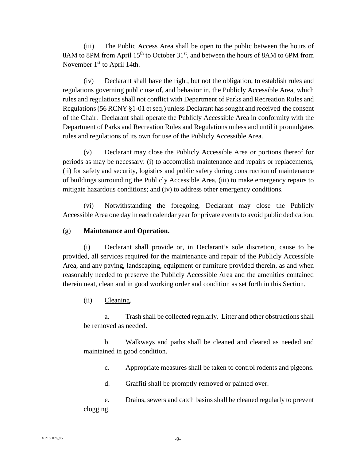(iii) The Public Access Area shall be open to the public between the hours of 8AM to 8PM from April 15<sup>th</sup> to October 31<sup>st</sup>, and between the hours of 8AM to 6PM from November  $1<sup>st</sup>$  to April 14th.

(iv) Declarant shall have the right, but not the obligation, to establish rules and regulations governing public use of, and behavior in, the Publicly Accessible Area, which rules and regulations shall not conflict with Department of Parks and Recreation Rules and Regulations (56 RCNY §1-01 et seq.) unless Declarant has sought and received the consent of the Chair. Declarant shall operate the Publicly Accessible Area in conformity with the Department of Parks and Recreation Rules and Regulations unless and until it promulgates rules and regulations of its own for use of the Publicly Accessible Area.

(v) Declarant may close the Publicly Accessible Area or portions thereof for periods as may be necessary: (i) to accomplish maintenance and repairs or replacements, (ii) for safety and security, logistics and public safety during construction of maintenance of buildings surrounding the Publicly Accessible Area, (iii) to make emergency repairs to mitigate hazardous conditions; and (iv) to address other emergency conditions.

(vi) Notwithstanding the foregoing, Declarant may close the Publicly Accessible Area one day in each calendar year for private events to avoid public dedication.

### (g) **Maintenance and Operation.**

(i) Declarant shall provide or, in Declarant's sole discretion, cause to be provided, all services required for the maintenance and repair of the Publicly Accessible Area, and any paving, landscaping, equipment or furniture provided therein, as and when reasonably needed to preserve the Publicly Accessible Area and the amenities contained therein neat, clean and in good working order and condition as set forth in this Section.

(ii) Cleaning*.*

a. Trash shall be collected regularly. Litter and other obstructions shall be removed as needed.

b. Walkways and paths shall be cleaned and cleared as needed and maintained in good condition.

c. Appropriate measures shall be taken to control rodents and pigeons.

d. Graffiti shall be promptly removed or painted over.

e. Drains, sewers and catch basins shall be cleaned regularly to prevent clogging.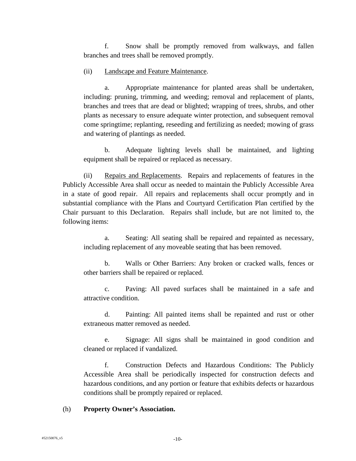f. Snow shall be promptly removed from walkways, and fallen branches and trees shall be removed promptly.

#### (ii) Landscape and Feature Maintenance.

a. Appropriate maintenance for planted areas shall be undertaken, including: pruning, trimming, and weeding; removal and replacement of plants, branches and trees that are dead or blighted; wrapping of trees, shrubs, and other plants as necessary to ensure adequate winter protection, and subsequent removal come springtime; replanting, reseeding and fertilizing as needed; mowing of grass and watering of plantings as needed.

b. Adequate lighting levels shall be maintained, and lighting equipment shall be repaired or replaced as necessary.

(ii) Repairs and Replacements. Repairs and replacements of features in the Publicly Accessible Area shall occur as needed to maintain the Publicly Accessible Area in a state of good repair. All repairs and replacements shall occur promptly and in substantial compliance with the Plans and Courtyard Certification Plan certified by the Chair pursuant to this Declaration. Repairs shall include, but are not limited to, the following items:

a. Seating: All seating shall be repaired and repainted as necessary, including replacement of any moveable seating that has been removed.

b. Walls or Other Barriers: Any broken or cracked walls, fences or other barriers shall be repaired or replaced.

c. Paving: All paved surfaces shall be maintained in a safe and attractive condition.

d. Painting: All painted items shall be repainted and rust or other extraneous matter removed as needed.

e. Signage: All signs shall be maintained in good condition and cleaned or replaced if vandalized.

f. Construction Defects and Hazardous Conditions: The Publicly Accessible Area shall be periodically inspected for construction defects and hazardous conditions, and any portion or feature that exhibits defects or hazardous conditions shall be promptly repaired or replaced.

#### (h) **Property Owner's Association.**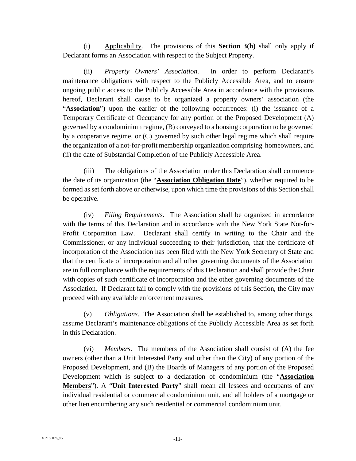(i) Applicability. The provisions of this **Section 3(h)** shall only apply if Declarant forms an Association with respect to the Subject Property.

(ii) *Property Owners' Association*. In order to perform Declarant's maintenance obligations with respect to the Publicly Accessible Area, and to ensure ongoing public access to the Publicly Accessible Area in accordance with the provisions hereof, Declarant shall cause to be organized a property owners' association (the "**Association**") upon the earlier of the following occurrences: (i) the issuance of a Temporary Certificate of Occupancy for any portion of the Proposed Development (A) governed by a condominium regime, (B) conveyed to a housing corporation to be governed by a cooperative regime, or (C) governed by such other legal regime which shall require the organization of a not-for-profit membership organization comprising homeowners, and (ii) the date of Substantial Completion of the Publicly Accessible Area.

(iii) The obligations of the Association under this Declaration shall commence the date of its organization (the "**Association Obligation Date**"), whether required to be formed as set forth above or otherwise, upon which time the provisions of this Section shall be operative.

(iv) *Filing Requirements*. The Association shall be organized in accordance with the terms of this Declaration and in accordance with the New York State Not-for-Profit Corporation Law. Declarant shall certify in writing to the Chair and the Commissioner, or any individual succeeding to their jurisdiction, that the certificate of incorporation of the Association has been filed with the New York Secretary of State and that the certificate of incorporation and all other governing documents of the Association are in full compliance with the requirements of this Declaration and shall provide the Chair with copies of such certificate of incorporation and the other governing documents of the Association. If Declarant fail to comply with the provisions of this Section, the City may proceed with any available enforcement measures.

(v) *Obligations*. The Association shall be established to, among other things, assume Declarant's maintenance obligations of the Publicly Accessible Area as set forth in this Declaration.

(vi) *Members*. The members of the Association shall consist of (A) the fee owners (other than a Unit Interested Party and other than the City) of any portion of the Proposed Development, and (B) the Boards of Managers of any portion of the Proposed Development which is subject to a declaration of condominium (the "**Association Members**"). A "**Unit Interested Party**" shall mean all lessees and occupants of any individual residential or commercial condominium unit, and all holders of a mortgage or other lien encumbering any such residential or commercial condominium unit.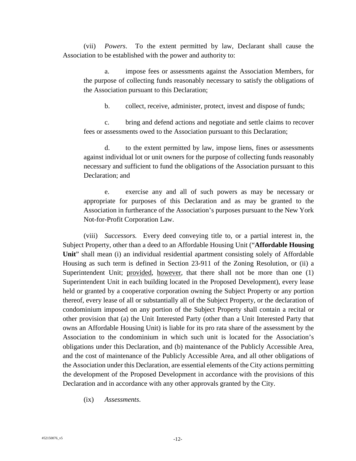(vii) *Powers*. To the extent permitted by law, Declarant shall cause the Association to be established with the power and authority to:

a. impose fees or assessments against the Association Members, for the purpose of collecting funds reasonably necessary to satisfy the obligations of the Association pursuant to this Declaration;

b. collect, receive, administer, protect, invest and dispose of funds;

c. bring and defend actions and negotiate and settle claims to recover fees or assessments owed to the Association pursuant to this Declaration;

d. to the extent permitted by law, impose liens, fines or assessments against individual lot or unit owners for the purpose of collecting funds reasonably necessary and sufficient to fund the obligations of the Association pursuant to this Declaration; and

e. exercise any and all of such powers as may be necessary or appropriate for purposes of this Declaration and as may be granted to the Association in furtherance of the Association's purposes pursuant to the New York Not-for-Profit Corporation Law.

(viii) *Successors.* Every deed conveying title to, or a partial interest in, the Subject Property, other than a deed to an Affordable Housing Unit ("**Affordable Housing Unit**" shall mean (i) an individual residential apartment consisting solely of Affordable Housing as such term is defined in Section 23-911 of the Zoning Resolution, or (ii) a Superintendent Unit; provided, however, that there shall not be more than one (1) Superintendent Unit in each building located in the Proposed Development), every lease held or granted by a cooperative corporation owning the Subject Property or any portion thereof, every lease of all or substantially all of the Subject Property, or the declaration of condominium imposed on any portion of the Subject Property shall contain a recital or other provision that (a) the Unit Interested Party (other than a Unit Interested Party that owns an Affordable Housing Unit) is liable for its pro rata share of the assessment by the Association to the condominium in which such unit is located for the Association's obligations under this Declaration, and (b) maintenance of the Publicly Accessible Area, and the cost of maintenance of the Publicly Accessible Area, and all other obligations of the Association under this Declaration, are essential elements of the City actions permitting the development of the Proposed Development in accordance with the provisions of this Declaration and in accordance with any other approvals granted by the City.

(ix) *Assessments*.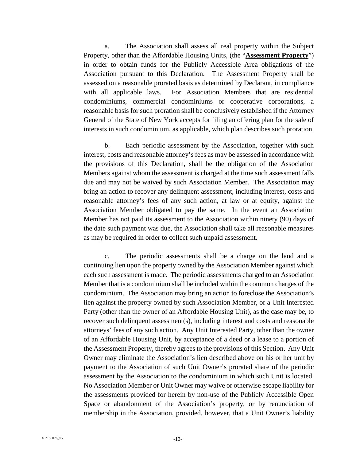a. The Association shall assess all real property within the Subject Property, other than the Affordable Housing Units, (the "**Assessment Property**") in order to obtain funds for the Publicly Accessible Area obligations of the Association pursuant to this Declaration. The Assessment Property shall be assessed on a reasonable prorated basis as determined by Declarant, in compliance with all applicable laws. For Association Members that are residential condominiums, commercial condominiums or cooperative corporations, a reasonable basis for such proration shall be conclusively established if the Attorney General of the State of New York accepts for filing an offering plan for the sale of interests in such condominium, as applicable, which plan describes such proration.

b. Each periodic assessment by the Association, together with such interest, costs and reasonable attorney's fees as may be assessed in accordance with the provisions of this Declaration, shall be the obligation of the Association Members against whom the assessment is charged at the time such assessment falls due and may not be waived by such Association Member. The Association may bring an action to recover any delinquent assessment, including interest, costs and reasonable attorney's fees of any such action, at law or at equity, against the Association Member obligated to pay the same. In the event an Association Member has not paid its assessment to the Association within ninety (90) days of the date such payment was due, the Association shall take all reasonable measures as may be required in order to collect such unpaid assessment.

c. The periodic assessments shall be a charge on the land and a continuing lien upon the property owned by the Association Member against which each such assessment is made. The periodic assessments charged to an Association Member that is a condominium shall be included within the common charges of the condominium. The Association may bring an action to foreclose the Association's lien against the property owned by such Association Member, or a Unit Interested Party (other than the owner of an Affordable Housing Unit), as the case may be, to recover such delinquent assessment(s), including interest and costs and reasonable attorneys' fees of any such action. Any Unit Interested Party, other than the owner of an Affordable Housing Unit, by acceptance of a deed or a lease to a portion of the Assessment Property, thereby agrees to the provisions of this Section. Any Unit Owner may eliminate the Association's lien described above on his or her unit by payment to the Association of such Unit Owner's prorated share of the periodic assessment by the Association to the condominium in which such Unit is located. No Association Member or Unit Owner may waive or otherwise escape liability for the assessments provided for herein by non-use of the Publicly Accessible Open Space or abandonment of the Association's property, or by renunciation of membership in the Association, provided, however, that a Unit Owner's liability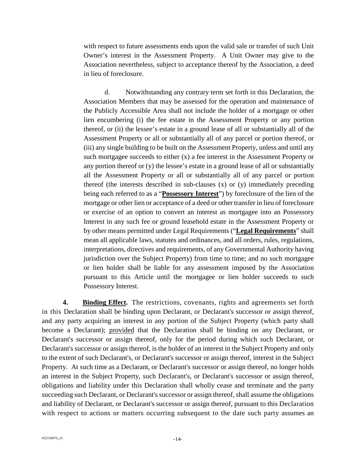with respect to future assessments ends upon the valid sale or transfer of such Unit Owner's interest in the Assessment Property. A Unit Owner may give to the Association nevertheless, subject to acceptance thereof by the Association, a deed in lieu of foreclosure.

d. Notwithstanding any contrary term set forth in this Declaration, the Association Members that may be assessed for the operation and maintenance of the Publicly Accessible Area shall not include the holder of a mortgage or other lien encumbering (i) the fee estate in the Assessment Property or any portion thereof, or (ii) the lessee's estate in a ground lease of all or substantially all of the Assessment Property or all or substantially all of any parcel or portion thereof, or (iii) any single building to be built on the Assessment Property, unless and until any such mortgagee succeeds to either (x) a fee interest in the Assessment Property or any portion thereof or (y) the lessee's estate in a ground lease of all or substantially all the Assessment Property or all or substantially all of any parcel or portion thereof (the interests described in sub-clauses (x) or (y) immediately preceding being each referred to as a "**Possessory Interest**") by foreclosure of the lien of the mortgage or other lien or acceptance of a deed or other transfer in lieu of foreclosure or exercise of an option to convert an interest as mortgagee into an Possessory Interest in any such fee or ground leasehold estate in the Assessment Property or by other means permitted under Legal Requirements ("**Legal Requirements**" shall mean all applicable laws, statutes and ordinances, and all orders, rules, regulations, interpretations, directives and requirements, of any Governmental Authority having jurisdiction over the Subject Property) from time to time; and no such mortgagee or lien holder shall be liable for any assessment imposed by the Association pursuant to this Article until the mortgagee or lien holder succeeds to such Possessory Interest.

**4. Binding Effect.** The restrictions, covenants, rights and agreements set forth in this Declaration shall be binding upon Declarant, or Declarant's successor or assign thereof, and any party acquiring an interest in any portion of the Subject Property (which party shall become a Declarant); provided that the Declaration shall be binding on any Declarant, or Declarant's successor or assign thereof, only for the period during which such Declarant, or Declarant's successor or assign thereof, is the holder of an interest in the Subject Property and only to the extent of such Declarant's, or Declarant's successor or assign thereof, interest in the Subject Property. At such time as a Declarant, or Declarant's successor or assign thereof, no longer holds an interest in the Subject Property, such Declarant's, or Declarant's successor or assign thereof, obligations and liability under this Declaration shall wholly cease and terminate and the party succeeding such Declarant, or Declarant's successor or assign thereof, shall assume the obligations and liability of Declarant, or Declarant's successor or assign thereof, pursuant to this Declaration with respect to actions or matters occurring subsequent to the date such party assumes an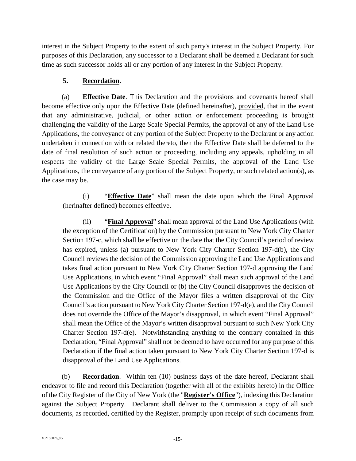interest in the Subject Property to the extent of such party's interest in the Subject Property. For purposes of this Declaration, any successor to a Declarant shall be deemed a Declarant for such time as such successor holds all or any portion of any interest in the Subject Property.

## **5. Recordation.**

 (a) **Effective Date**. This Declaration and the provisions and covenants hereof shall become effective only upon the Effective Date (defined hereinafter), provided, that in the event that any administrative, judicial, or other action or enforcement proceeding is brought challenging the validity of the Large Scale Special Permits, the approval of any of the Land Use Applications, the conveyance of any portion of the Subject Property to the Declarant or any action undertaken in connection with or related thereto, then the Effective Date shall be deferred to the date of final resolution of such action or proceeding, including any appeals, upholding in all respects the validity of the Large Scale Special Permits, the approval of the Land Use Applications, the conveyance of any portion of the Subject Property, or such related action(s), as the case may be.

(i) "**Effective Date**" shall mean the date upon which the Final Approval (herinafter defined) becomes effective.

(ii) "**Final Approval**" shall mean approval of the Land Use Applications (with the exception of the Certification) by the Commission pursuant to New York City Charter Section 197-c, which shall be effective on the date that the City Council's period of review has expired, unless (a) pursuant to New York City Charter Section 197-d(b), the City Council reviews the decision of the Commission approving the Land Use Applications and takes final action pursuant to New York City Charter Section 197-d approving the Land Use Applications, in which event "Final Approval" shall mean such approval of the Land Use Applications by the City Council or (b) the City Council disapproves the decision of the Commission and the Office of the Mayor files a written disapproval of the City Council's action pursuant to New York City Charter Section 197-d(e), and the City Council does not override the Office of the Mayor's disapproval, in which event "Final Approval" shall mean the Office of the Mayor's written disapproval pursuant to such New York City Charter Section 197-d(e). Notwithstanding anything to the contrary contained in this Declaration, "Final Approval" shall not be deemed to have occurred for any purpose of this Declaration if the final action taken pursuant to New York City Charter Section 197-d is disapproval of the Land Use Applications.

 (b) **Recordation**. Within ten (10) business days of the date hereof, Declarant shall endeavor to file and record this Declaration (together with all of the exhibits hereto) in the Office of the City Register of the City of New York (the "**Register's Office**"), indexing this Declaration against the Subject Property. Declarant shall deliver to the Commission a copy of all such documents, as recorded, certified by the Register, promptly upon receipt of such documents from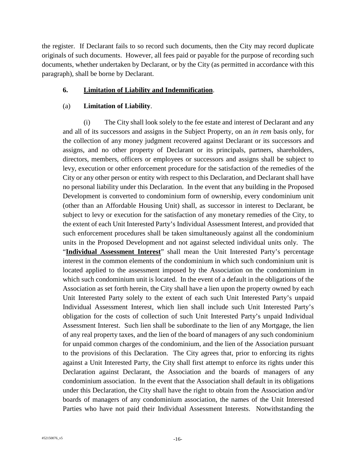the register. If Declarant fails to so record such documents, then the City may record duplicate originals of such documents. However, all fees paid or payable for the purpose of recording such documents, whether undertaken by Declarant, or by the City (as permitted in accordance with this paragraph), shall be borne by Declarant.

## **6. Limitation of Liability and Indemnification**.

## (a) **Limitation of Liability**.

(i) The City shall look solely to the fee estate and interest of Declarant and any and all of its successors and assigns in the Subject Property, on an *in rem* basis only, for the collection of any money judgment recovered against Declarant or its successors and assigns, and no other property of Declarant or its principals, partners, shareholders, directors, members, officers or employees or successors and assigns shall be subject to levy, execution or other enforcement procedure for the satisfaction of the remedies of the City or any other person or entity with respect to this Declaration, and Declarant shall have no personal liability under this Declaration. In the event that any building in the Proposed Development is converted to condominium form of ownership, every condominium unit (other than an Affordable Housing Unit) shall, as successor in interest to Declarant, be subject to levy or execution for the satisfaction of any monetary remedies of the City, to the extent of each Unit Interested Party's Individual Assessment Interest, and provided that such enforcement procedures shall be taken simultaneously against all the condominium units in the Proposed Development and not against selected individual units only. The "**Individual Assessment Interest**" shall mean the Unit Interested Party's percentage interest in the common elements of the condominium in which such condominium unit is located applied to the assessment imposed by the Association on the condominium in which such condominium unit is located. In the event of a default in the obligations of the Association as set forth herein, the City shall have a lien upon the property owned by each Unit Interested Party solely to the extent of each such Unit Interested Party's unpaid Individual Assessment Interest, which lien shall include such Unit Interested Party's obligation for the costs of collection of such Unit Interested Party's unpaid Individual Assessment Interest. Such lien shall be subordinate to the lien of any Mortgage, the lien of any real property taxes, and the lien of the board of managers of any such condominium for unpaid common charges of the condominium, and the lien of the Association pursuant to the provisions of this Declaration. The City agrees that, prior to enforcing its rights against a Unit Interested Party, the City shall first attempt to enforce its rights under this Declaration against Declarant, the Association and the boards of managers of any condominium association. In the event that the Association shall default in its obligations under this Declaration, the City shall have the right to obtain from the Association and/or boards of managers of any condominium association, the names of the Unit Interested Parties who have not paid their Individual Assessment Interests. Notwithstanding the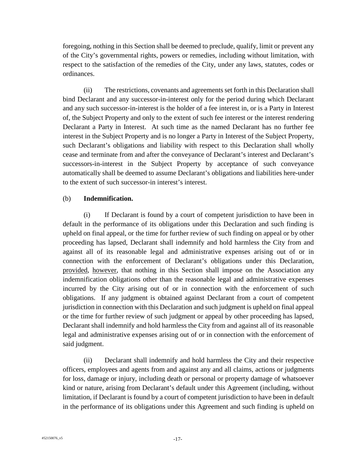foregoing, nothing in this Section shall be deemed to preclude, qualify, limit or prevent any of the City's governmental rights, powers or remedies, including without limitation, with respect to the satisfaction of the remedies of the City, under any laws, statutes, codes or ordinances.

(ii) The restrictions, covenants and agreements set forth in this Declaration shall bind Declarant and any successor-in-interest only for the period during which Declarant and any such successor-in-interest is the holder of a fee interest in, or is a Party in Interest of, the Subject Property and only to the extent of such fee interest or the interest rendering Declarant a Party in Interest. At such time as the named Declarant has no further fee interest in the Subject Property and is no longer a Party in Interest of the Subject Property, such Declarant's obligations and liability with respect to this Declaration shall wholly cease and terminate from and after the conveyance of Declarant's interest and Declarant's successors-in-interest in the Subject Property by acceptance of such conveyance automatically shall be deemed to assume Declarant's obligations and liabilities here-under to the extent of such successor-in interest's interest.

## (b) **Indemnification.**

(i) If Declarant is found by a court of competent jurisdiction to have been in default in the performance of its obligations under this Declaration and such finding is upheld on final appeal, or the time for further review of such finding on appeal or by other proceeding has lapsed, Declarant shall indemnify and hold harmless the City from and against all of its reasonable legal and administrative expenses arising out of or in connection with the enforcement of Declarant's obligations under this Declaration, provided, however, that nothing in this Section shall impose on the Association any indemnification obligations other than the reasonable legal and administrative expenses incurred by the City arising out of or in connection with the enforcement of such obligations. If any judgment is obtained against Declarant from a court of competent jurisdiction in connection with this Declaration and such judgment is upheld on final appeal or the time for further review of such judgment or appeal by other proceeding has lapsed, Declarant shall indemnify and hold harmless the City from and against all of its reasonable legal and administrative expenses arising out of or in connection with the enforcement of said judgment.

(ii) Declarant shall indemnify and hold harmless the City and their respective officers, employees and agents from and against any and all claims, actions or judgments for loss, damage or injury, including death or personal or property damage of whatsoever kind or nature, arising from Declarant's default under this Agreement (including, without limitation, if Declarant is found by a court of competent jurisdiction to have been in default in the performance of its obligations under this Agreement and such finding is upheld on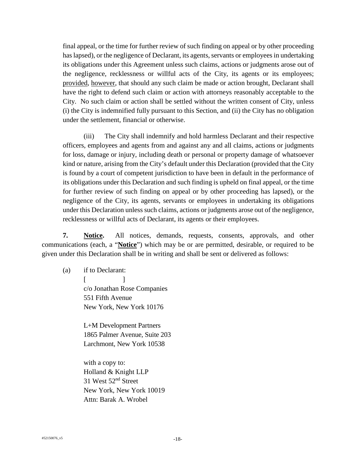final appeal, or the time for further review of such finding on appeal or by other proceeding has lapsed), or the negligence of Declarant, its agents, servants or employees in undertaking its obligations under this Agreement unless such claims, actions or judgments arose out of the negligence, recklessness or willful acts of the City, its agents or its employees; provided, however, that should any such claim be made or action brought, Declarant shall have the right to defend such claim or action with attorneys reasonably acceptable to the City. No such claim or action shall be settled without the written consent of City, unless (i) the City is indemnified fully pursuant to this Section, and (ii) the City has no obligation under the settlement, financial or otherwise.

(iii) The City shall indemnify and hold harmless Declarant and their respective officers, employees and agents from and against any and all claims, actions or judgments for loss, damage or injury, including death or personal or property damage of whatsoever kind or nature, arising from the City's default under this Declaration (provided that the City is found by a court of competent jurisdiction to have been in default in the performance of its obligations under this Declaration and such finding is upheld on final appeal, or the time for further review of such finding on appeal or by other proceeding has lapsed), or the negligence of the City, its agents, servants or employees in undertaking its obligations under this Declaration unless such claims, actions or judgments arose out of the negligence, recklessness or willful acts of Declarant, its agents or their employees.

**7. Notice.** All notices, demands, requests, consents, approvals, and other communications (each, a "**Notice**") which may be or are permitted, desirable, or required to be given under this Declaration shall be in writing and shall be sent or delivered as follows:

(a) if to Declarant:  $[$   $]$ c/o Jonathan Rose Companies 551 Fifth Avenue New York, New York 10176

> L+M Development Partners 1865 Palmer Avenue, Suite 203 Larchmont, New York 10538

with a copy to: Holland & Knight LLP 31 West 52nd Street New York, New York 10019 Attn: Barak A. Wrobel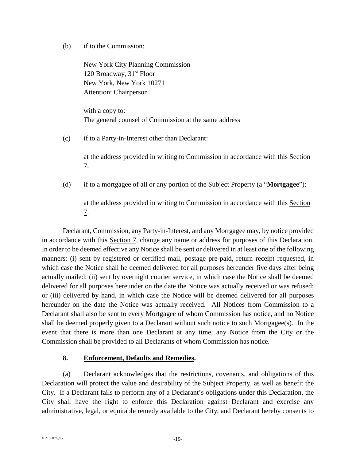(b) if to the Commission:

New York City Planning Commission 120 Broadway, 31st Floor New York, New York 10271 Attention: Chairperson

with a copy to: The general counsel of Commission at the same address

(c) if to a Party-in-Interest other than Declarant:

at the address provided in writing to Commission in accordance with this Section 7.

(d) if to a mortgagee of all or any portion of the Subject Property (a "**Mortgagee**"):

at the address provided in writing to Commission in accordance with this Section 7.

Declarant, Commission, any Party-in-Interest, and any Mortgagee may, by notice provided in accordance with this Section 7, change any name or address for purposes of this Declaration. In order to be deemed effective any Notice shall be sent or delivered in at least one of the following manners: (i) sent by registered or certified mail, postage pre-paid, return receipt requested, in which case the Notice shall he deemed delivered for all purposes hereunder five days after being actually mailed; (ii) sent by overnight courier service, in which case the Notice shall be deemed delivered for all purposes hereunder on the date the Notice was actually received or was refused; or (iii) delivered by hand, in which case the Notice will be deemed delivered for all purposes hereunder on the date the Notice was actually received. All Notices from Commission to a Declarant shall also be sent to every Mortgagee of whom Commission has notice, and no Notice shall be deemed properly given to a Declarant without such notice to such Mortgagee(s). In the event that there is more than one Declarant at any time, any Notice from the City or the Commission shall be provided to all Declarants of whom Commission has notice.

## **8. Enforcement, Defaults and Remedies.**

(a) Declarant acknowledges that the restrictions, covenants, and obligations of this Declaration will protect the value and desirability of the Subject Property, as well as benefit the City. If a Declarant fails to perform any of a Declarant's obligations under this Declaration, the City shall have the right to enforce this Declaration against Declarant and exercise any administrative, legal, or equitable remedy available to the City, and Declarant hereby consents to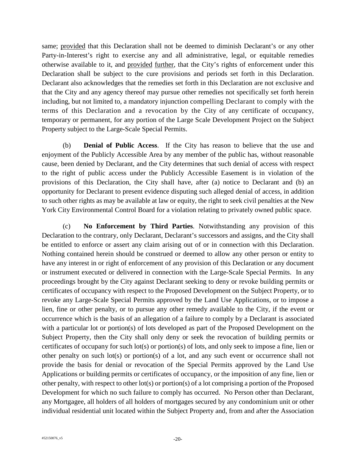same; provided that this Declaration shall not be deemed to diminish Declarant's or any other Party-in-Interest's right to exercise any and all administrative, legal, or equitable remedies otherwise available to it, and provided further, that the City's rights of enforcement under this Declaration shall be subject to the cure provisions and periods set forth in this Declaration. Declarant also acknowledges that the remedies set forth in this Declaration are not exclusive and that the City and any agency thereof may pursue other remedies not specifically set forth herein including, but not limited to, a mandatory injunction compelling Declarant to comply with the terms of this Declaration and a revocation by the City of any certificate of occupancy, temporary or permanent, for any portion of the Large Scale Development Project on the Subject Property subject to the Large-Scale Special Permits.

(b) **Denial of Public Access**. If the City has reason to believe that the use and enjoyment of the Publicly Accessible Area by any member of the public has, without reasonable cause, been denied by Declarant, and the City determines that such denial of access with respect to the right of public access under the Publicly Accessible Easement is in violation of the provisions of this Declaration, the City shall have, after (a) notice to Declarant and (b) an opportunity for Declarant to present evidence disputing such alleged denial of access, in addition to such other rights as may be available at law or equity, the right to seek civil penalties at the New York City Environmental Control Board for a violation relating to privately owned public space.

(c) **No Enforcement by Third Parties**. Notwithstanding any provision of this Declaration to the contrary, only Declarant, Declarant's successors and assigns, and the City shall be entitled to enforce or assert any claim arising out of or in connection with this Declaration. Nothing contained herein should be construed or deemed to allow any other person or entity to have any interest in or right of enforcement of any provision of this Declaration or any document or instrument executed or delivered in connection with the Large-Scale Special Permits. In any proceedings brought by the City against Declarant seeking to deny or revoke building permits or certificates of occupancy with respect to the Proposed Development on the Subject Property, or to revoke any Large-Scale Special Permits approved by the Land Use Applications, or to impose a lien, fine or other penalty, or to pursue any other remedy available to the City, if the event or occurrence which is the basis of an allegation of a failure to comply by a Declarant is associated with a particular lot or portion(s) of lots developed as part of the Proposed Development on the Subject Property, then the City shall only deny or seek the revocation of building permits or certificates of occupany for such lot(s) or portion(s) of lots, and only seek to impose a fine, lien or other penalty on such lot(s) or portion(s) of a lot, and any such event or occurrence shall not provide the basis for denial or revocation of the Special Permits approved by the Land Use Applications or building permits or certificates of occupancy, or the imposition of any fine, lien or other penalty, with respect to other  $\text{lot}(s)$  or portion(s) of a lot comprising a portion of the Proposed Development for which no such failure to comply has occurred. No Person other than Declarant, any Mortgagee, all holders of all holders of mortgages secured by any condominium unit or other individual residential unit located within the Subject Property and, from and after the Association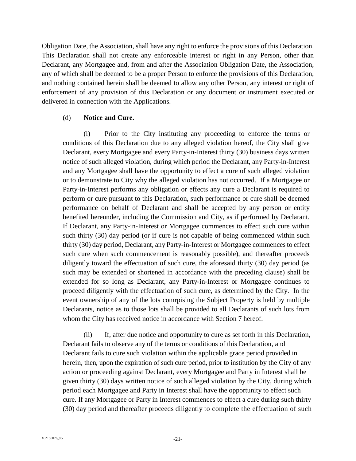Obligation Date, the Association, shall have any right to enforce the provisions of this Declaration. This Declaration shall not create any enforceable interest or right in any Person, other than Declarant, any Mortgagee and, from and after the Association Obligation Date, the Association, any of which shall be deemed to be a proper Person to enforce the provisions of this Declaration, and nothing contained herein shall be deemed to allow any other Person, any interest or right of enforcement of any provision of this Declaration or any document or instrument executed or delivered in connection with the Applications.

### (d) **Notice and Cure.**

(i) Prior to the City instituting any proceeding to enforce the terms or conditions of this Declaration due to any alleged violation hereof, the City shall give Declarant, every Mortgagee and every Party-in-Interest thirty (30) business days written notice of such alleged violation, during which period the Declarant, any Party-in-Interest and any Mortgagee shall have the opportunity to effect a cure of such alleged violation or to demonstrate to City why the alleged violation has not occurred. If a Mortgagee or Party-in-Interest performs any obligation or effects any cure a Declarant is required to perform or cure pursuant to this Declaration, such performance or cure shall be deemed performance on behalf of Declarant and shall be accepted by any person or entity benefited hereunder, including the Commission and City, as if performed by Declarant. If Declarant, any Party-in-Interest or Mortgagee commences to effect such cure within such thirty (30) day period (or if cure is not capable of being commenced within such thirty (30) day period, Declarant, any Party-in-Interest or Mortgagee commences to effect such cure when such commencement is reasonably possible), and thereafter proceeds diligently toward the effectuation of such cure, the aforesaid thirty (30) day period (as such may be extended or shortened in accordance with the preceding clause) shall be extended for so long as Declarant, any Party-in-Interest or Mortgagee continues to proceed diligently with the effectuation of such cure, as determined by the City. In the event ownership of any of the lots comrpising the Subject Property is held by multiple Declarants, notice as to those lots shall be provided to all Declarants of such lots from whom the City has received notice in accordance with Section 7 hereof.

(ii) If, after due notice and opportunity to cure as set forth in this Declaration, Declarant fails to observe any of the terms or conditions of this Declaration, and Declarant fails to cure such violation within the applicable grace period provided in herein, then, upon the expiration of such cure period, prior to institution by the City of any action or proceeding against Declarant, every Mortgagee and Party in Interest shall be given thirty (30) days written notice of such alleged violation by the City, during which period each Mortgagee and Party in Interest shall have the opportunity to effect such cure. If any Mortgagee or Party in Interest commences to effect a cure during such thirty (30) day period and thereafter proceeds diligently to complete the effectuation of such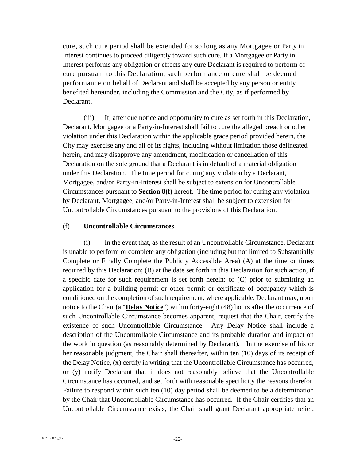cure, such cure period shall be extended for so long as any Mortgagee or Party in Interest continues to proceed diligently toward such cure. If a Mortgagee or Party in Interest performs any obligation or effects any cure Declarant is required to perform or cure pursuant to this Declaration, such performance or cure shall be deemed performance on behalf of Declarant and shall be accepted by any person or entity benefited hereunder, including the Commission and the City, as if performed by Declarant.

(iii) If, after due notice and opportunity to cure as set forth in this Declaration, Declarant, Mortgagee or a Party-in-Interest shall fail to cure the alleged breach or other violation under this Declaration within the applicable grace period provided herein, the City may exercise any and all of its rights, including without limitation those delineated herein, and may disapprove any amendment, modification or cancellation of this Declaration on the sole ground that a Declarant is in default of a material obligation under this Declaration. The time period for curing any violation by a Declarant, Mortgagee, and/or Party-in-Interest shall be subject to extension for Uncontrollable Circumstances pursuant to **Section 8(f)** hereof. The time period for curing any violation by Declarant, Mortgagee, and/or Party-in-Interest shall be subject to extension for Uncontrollable Circumstances pursuant to the provisions of this Declaration.

### (f) **Uncontrollable Circumstances**.

(i) In the event that, as the result of an Uncontrollable Circumstance, Declarant is unable to perform or complete any obligation (including but not limited to Substantially Complete or Finally Complete the Publicly Accessible Area) (A) at the time or times required by this Declaration; (B) at the date set forth in this Declaration for such action, if a specific date for such requirement is set forth herein; or (C) prior to submitting an application for a building permit or other permit or certificate of occupancy which is conditioned on the completion of such requirement, where applicable, Declarant may, upon notice to the Chair (a "**Delay Notice**") within forty-eight (48) hours after the occurrence of such Uncontrollable Circumstance becomes apparent, request that the Chair, certify the existence of such Uncontrollable Circumstance. Any Delay Notice shall include a description of the Uncontrollable Circumstance and its probable duration and impact on the work in question (as reasonably determined by Declarant). In the exercise of his or her reasonable judgment, the Chair shall thereafter, within ten (10) days of its receipt of the Delay Notice, (x) certify in writing that the Uncontrollable Circumstance has occurred, or (y) notify Declarant that it does not reasonably believe that the Uncontrollable Circumstance has occurred, and set forth with reasonable specificity the reasons therefor. Failure to respond within such ten (10) day period shall be deemed to be a determination by the Chair that Uncontrollable Circumstance has occurred. If the Chair certifies that an Uncontrollable Circumstance exists, the Chair shall grant Declarant appropriate relief,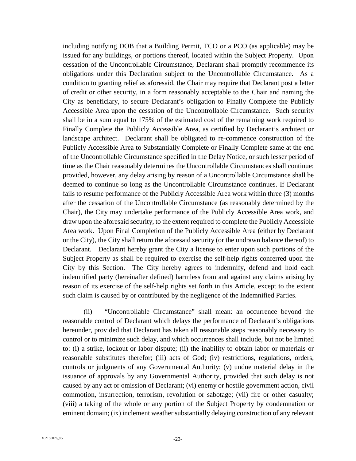including notifying DOB that a Building Permit, TCO or a PCO (as applicable) may be issued for any buildings, or portions thereof, located within the Subject Property. Upon cessation of the Uncontrollable Circumstance, Declarant shall promptly recommence its obligations under this Declaration subject to the Uncontrollable Circumstance. As a condition to granting relief as aforesaid, the Chair may require that Declarant post a letter of credit or other security, in a form reasonably acceptable to the Chair and naming the City as beneficiary, to secure Declarant's obligation to Finally Complete the Publicly Accessible Area upon the cessation of the Uncontrollable Circumstance. Such security shall be in a sum equal to 175% of the estimated cost of the remaining work required to Finally Complete the Publicly Accessible Area, as certified by Declarant's architect or landscape architect. Declarant shall be obligated to re-commence construction of the Publicly Accessible Area to Substantially Complete or Finally Complete same at the end of the Uncontrollable Circumstance specified in the Delay Notice, or such lesser period of time as the Chair reasonably determines the Uncontrollable Circumstances shall continue; provided, however, any delay arising by reason of a Uncontrollable Circumstance shall be deemed to continue so long as the Uncontrollable Circumstance continues. If Declarant fails to resume performance of the Publicly Accessible Area work within three (3) months after the cessation of the Uncontrollable Circumstance (as reasonably determined by the Chair), the City may undertake performance of the Publicly Accessible Area work, and draw upon the aforesaid security, to the extent required to complete the Publicly Accessible Area work. Upon Final Completion of the Publicly Accessible Area (either by Declarant or the City), the City shall return the aforesaid security (or the undrawn balance thereof) to Declarant. Declarant hereby grant the City a license to enter upon such portions of the Subject Property as shall be required to exercise the self-help rights conferred upon the City by this Section. The City hereby agrees to indemnify, defend and hold each indemnified party (hereinafter defined) harmless from and against any claims arising by reason of its exercise of the self-help rights set forth in this Article, except to the extent such claim is caused by or contributed by the negligence of the Indemnified Parties.

(ii) "Uncontrollable Circumstance" shall mean: an occurrence beyond the reasonable control of Declarant which delays the performance of Declarant's obligations hereunder, provided that Declarant has taken all reasonable steps reasonably necessary to control or to minimize such delay, and which occurrences shall include, but not be limited to: (i) a strike, lockout or labor dispute; (ii) the inability to obtain labor or materials or reasonable substitutes therefor; (iii) acts of God; (iv) restrictions, regulations, orders, controls or judgments of any Governmental Authority; (v) undue material delay in the issuance of approvals by any Governmental Authority, provided that such delay is not caused by any act or omission of Declarant; (vi) enemy or hostile government action, civil commotion, insurrection, terrorism, revolution or sabotage; (vii) fire or other casualty; (viii) a taking of the whole or any portion of the Subject Property by condemnation or eminent domain; (ix) inclement weather substantially delaying construction of any relevant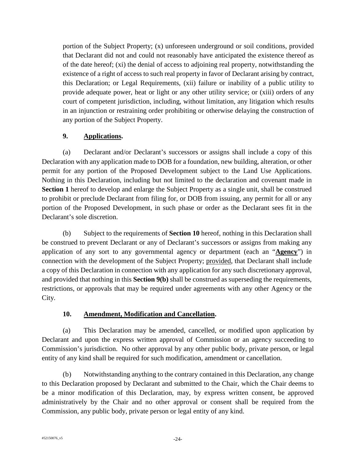portion of the Subject Property; (x) unforeseen underground or soil conditions, provided that Declarant did not and could not reasonably have anticipated the existence thereof as of the date hereof; (xi) the denial of access to adjoining real property, notwithstanding the existence of a right of access to such real property in favor of Declarant arising by contract, this Declaration; or Legal Requirements, (xii) failure or inability of a public utility to provide adequate power, heat or light or any other utility service; or (xiii) orders of any court of competent jurisdiction, including, without limitation, any litigation which results in an injunction or restraining order prohibiting or otherwise delaying the construction of any portion of the Subject Property.

## **9. Applications.**

(a) Declarant and/or Declarant's successors or assigns shall include a copy of this Declaration with any application made to DOB for a foundation, new building, alteration, or other permit for any portion of the Proposed Development subject to the Land Use Applications. Nothing in this Declaration, including but not limited to the declaration and covenant made in **Section 1** hereof to develop and enlarge the Subject Property as a single unit, shall be construed to prohibit or preclude Declarant from filing for, or DOB from issuing, any permit for all or any portion of the Proposed Development, in such phase or order as the Declarant sees fit in the Declarant's sole discretion.

(b) Subject to the requirements of **Section 10** hereof, nothing in this Declaration shall be construed to prevent Declarant or any of Declarant's successors or assigns from making any application of any sort to any governmental agency or department (each an "**Agency**") in connection with the development of the Subject Property; provided, that Declarant shall include a copy of this Declaration in connection with any application for any such discretionary approval, and provided that nothing in this **Section 9(b)** shall be construed as superseding the requirements, restrictions, or approvals that may be required under agreements with any other Agency or the City.

## **10. Amendment, Modification and Cancellation.**

(a) This Declaration may be amended, cancelled, or modified upon application by Declarant and upon the express written approval of Commission or an agency succeeding to Commission's jurisdiction. No other approval by any other public body, private person, or legal entity of any kind shall be required for such modification, amendment or cancellation.

(b) Notwithstanding anything to the contrary contained in this Declaration, any change to this Declaration proposed by Declarant and submitted to the Chair, which the Chair deems to be a minor modification of this Declaration, may, by express written consent, be approved administratively by the Chair and no other approval or consent shall be required from the Commission, any public body, private person or legal entity of any kind.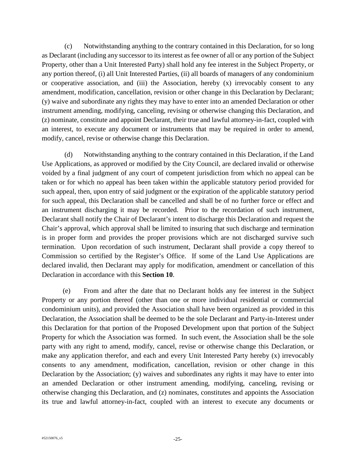(c) Notwithstanding anything to the contrary contained in this Declaration, for so long as Declarant (including any successor to its interest as fee owner of all or any portion of the Subject Property, other than a Unit Interested Party) shall hold any fee interest in the Subject Property, or any portion thereof, (i) all Unit Interested Parties, (ii) all boards of managers of any condominium or cooperative association, and (iii) the Association, hereby (x) irrevocably consent to any amendment, modification, cancellation, revision or other change in this Declaration by Declarant; (y) waive and subordinate any rights they may have to enter into an amended Declaration or other instrument amending, modifying, canceling, revising or otherwise changing this Declaration, and (z) nominate, constitute and appoint Declarant, their true and lawful attorney-in-fact, coupled with an interest, to execute any document or instruments that may be required in order to amend, modify, cancel, revise or otherwise change this Declaration.

(d) Notwithstanding anything to the contrary contained in this Declaration, if the Land Use Applications, as approved or modified by the City Council, are declared invalid or otherwise voided by a final judgment of any court of competent jurisdiction from which no appeal can be taken or for which no appeal has been taken within the applicable statutory period provided for such appeal, then, upon entry of said judgment or the expiration of the applicable statutory period for such appeal, this Declaration shall be cancelled and shall be of no further force or effect and an instrument discharging it may be recorded. Prior to the recordation of such instrument, Declarant shall notify the Chair of Declarant's intent to discharge this Declaration and request the Chair's approval, which approval shall be limited to insuring that such discharge and termination is in proper form and provides the proper provisions which are not discharged survive such termination. Upon recordation of such instrument, Declarant shall provide a copy thereof to Commission so certified by the Register's Office. If some of the Land Use Applications are declared invalid, then Declarant may apply for modification, amendment or cancellation of this Declaration in accordance with this **Section 10**.

(e) From and after the date that no Declarant holds any fee interest in the Subject Property or any portion thereof (other than one or more individual residential or commercial condominium units), and provided the Association shall have been organized as provided in this Declaration, the Association shall be deemed to be the sole Declarant and Party-in-Interest under this Declaration for that portion of the Proposed Development upon that portion of the Subject Property for which the Association was formed. In such event, the Association shall be the sole party with any right to amend, modify, cancel, revise or otherwise change this Declaration, or make any application therefor, and each and every Unit Interested Party hereby (x) irrevocably consents to any amendment, modification, cancellation, revision or other change in this Declaration by the Association; (y) waives and subordinates any rights it may have to enter into an amended Declaration or other instrument amending, modifying, canceling, revising or otherwise changing this Declaration, and (z) nominates, constitutes and appoints the Association its true and lawful attorney-in-fact, coupled with an interest to execute any documents or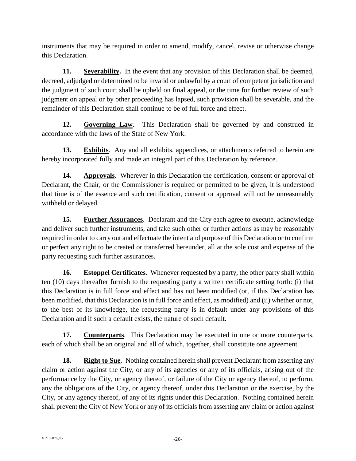instruments that may be required in order to amend, modify, cancel, revise or otherwise change this Declaration.

**11. Severability.** In the event that any provision of this Declaration shall be deemed, decreed, adjudged or determined to be invalid or unlawful by a court of competent jurisdiction and the judgment of such court shall be upheld on final appeal, or the time for further review of such judgment on appeal or by other proceeding has lapsed, such provision shall be severable, and the remainder of this Declaration shall continue to be of full force and effect.

**12. Governing Law**. This Declaration shall be governed by and construed in accordance with the laws of the State of New York.

13. **Exhibits**. Any and all exhibits, appendices, or attachments referred to herein are hereby incorporated fully and made an integral part of this Declaration by reference.

**14. Approvals**. Wherever in this Declaration the certification, consent or approval of Declarant, the Chair, or the Commissioner is required or permitted to be given, it is understood that time is of the essence and such certification, consent or approval will not be unreasonably withheld or delayed.

**15. Further Assurances**. Declarant and the City each agree to execute, acknowledge and deliver such further instruments, and take such other or further actions as may be reasonably required in order to carry out and effectuate the intent and purpose of this Declaration or to confirm or perfect any right to be created or transferred hereunder, all at the sole cost and expense of the party requesting such further assurances.

**16. Estoppel Certificates**. Whenever requested by a party, the other party shall within ten (10) days thereafter furnish to the requesting party a written certificate setting forth: (i) that this Declaration is in full force and effect and has not been modified (or, if this Declaration has been modified, that this Declaration is in full force and effect, as modified) and (ii) whether or not, to the best of its knowledge, the requesting party is in default under any provisions of this Declaration and if such a default exists, the nature of such default.

**17. Counterparts**. This Declaration may be executed in one or more counterparts, each of which shall be an original and all of which, together, shall constitute one agreement.

**18. Right to Sue**. Nothing contained herein shall prevent Declarant from asserting any claim or action against the City, or any of its agencies or any of its officials, arising out of the performance by the City, or agency thereof, or failure of the City or agency thereof, to perform, any the obligations of the City, or agency thereof, under this Declaration or the exercise, by the City, or any agency thereof, of any of its rights under this Declaration. Nothing contained herein shall prevent the City of New York or any of its officials from asserting any claim or action against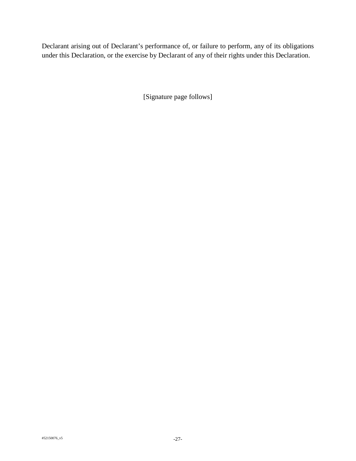Declarant arising out of Declarant's performance of, or failure to perform, any of its obligations under this Declaration, or the exercise by Declarant of any of their rights under this Declaration.

[Signature page follows]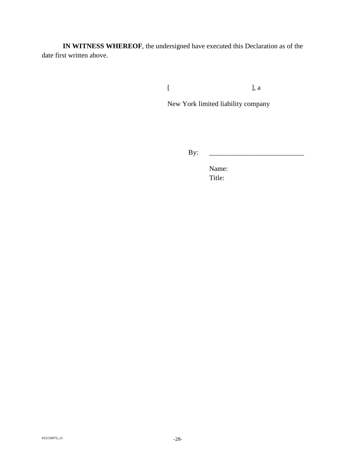**IN WITNESS WHEREOF**, the undersigned have executed this Declaration as of the date first written above.

[], a

New York limited liability company

By: \_\_\_\_\_\_\_\_\_\_\_\_\_\_\_\_\_\_\_\_\_\_\_\_\_\_\_

Name: Title: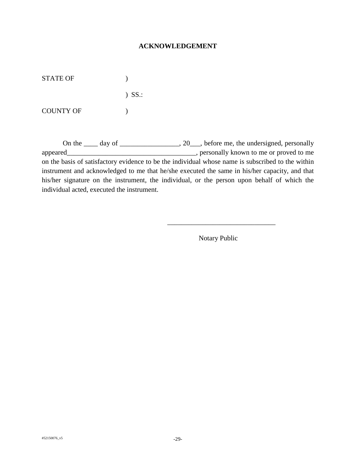#### **ACKNOWLEDGEMENT**

STATE OF  $\qquad \qquad$  ) ) SS.: COUNTY OF  $)$ 

On the  $\frac{1}{\sqrt{2}}$  day of  $\frac{1}{\sqrt{2}}$ ,  $\frac{1}{\sqrt{2}}$ , before me, the undersigned, personally appeared\_\_\_\_\_\_\_\_\_\_\_\_\_\_\_\_\_\_\_\_\_\_\_\_\_\_\_\_\_\_\_\_\_\_\_\_\_, personally known to me or proved to me on the basis of satisfactory evidence to be the individual whose name is subscribed to the within instrument and acknowledged to me that he/she executed the same in his/her capacity, and that his/her signature on the instrument, the individual, or the person upon behalf of which the individual acted, executed the instrument.

Notary Public

\_\_\_\_\_\_\_\_\_\_\_\_\_\_\_\_\_\_\_\_\_\_\_\_\_\_\_\_\_\_\_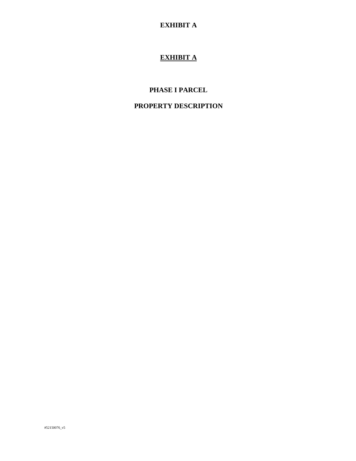**EXHIBIT A**

## **EXHIBIT A**

## **PHASE I PARCEL**

## **PROPERTY DESCRIPTION**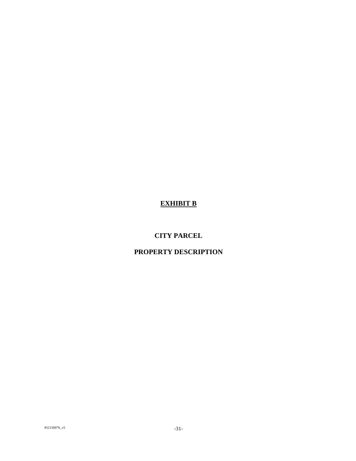## **EXHIBIT B**

## **CITY PARCEL**

# **PROPERTY DESCRIPTION**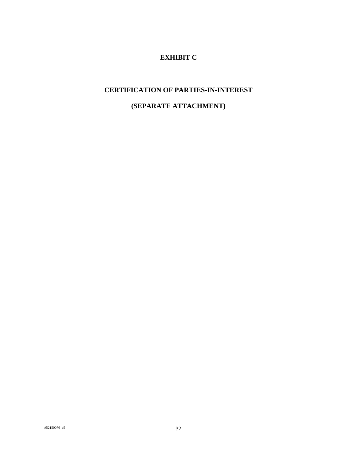# **EXHIBIT C**

# **CERTIFICATION OF PARTIES-IN-INTEREST**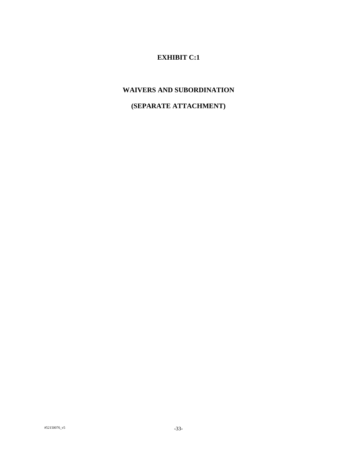# **EXHIBIT C:1**

## **WAIVERS AND SUBORDINATION**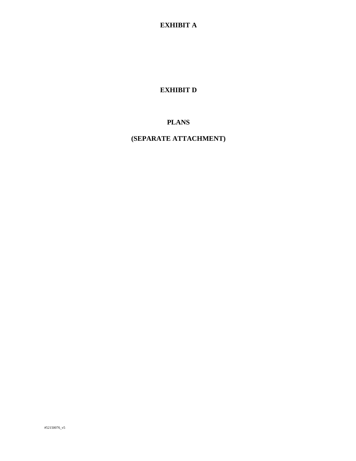**EXHIBIT A**

**EXHIBIT D**

## **PLANS**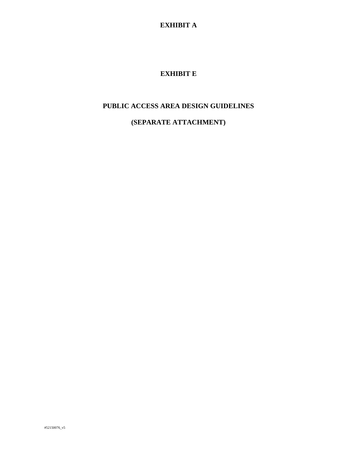**EXHIBIT A**

## **EXHIBIT E**

## **PUBLIC ACCESS AREA DESIGN GUIDELINES**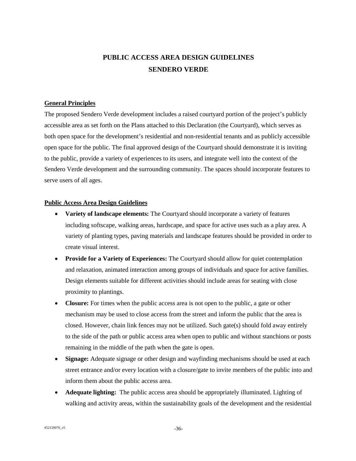# **PUBLIC ACCESS AREA DESIGN GUIDELINES SENDERO VERDE**

#### **General Principles**

The proposed Sendero Verde development includes a raised courtyard portion of the project's publicly accessible area as set forth on the Plans attached to this Declaration (the Courtyard), which serves as both open space for the development's residential and non-residential tenants and as publicly accessible open space for the public. The final approved design of the Courtyard should demonstrate it is inviting to the public, provide a variety of experiences to its users, and integrate well into the context of the Sendero Verde development and the surrounding community. The spaces should incorporate features to serve users of all ages.

#### **Public Access Area Design Guidelines**

- **Variety of landscape elements:** The Courtyard should incorporate a variety of features including softscape, walking areas, hardscape, and space for active uses such as a play area. A variety of planting types, paving materials and landscape features should be provided in order to create visual interest.
- **Provide for a Variety of Experiences:** The Courtyard should allow for quiet contemplation and relaxation, animated interaction among groups of individuals and space for active families. Design elements suitable for different activities should include areas for seating with close proximity to plantings.
- **Closure:** For times when the public access area is not open to the public, a gate or other mechanism may be used to close access from the street and inform the public that the area is closed. However, chain link fences may not be utilized. Such gate(s) should fold away entirely to the side of the path or public access area when open to public and without stanchions or posts remaining in the middle of the path when the gate is open.
- **Signage:** Adequate signage or other design and wayfinding mechanisms should be used at each street entrance and/or every location with a closure/gate to invite members of the public into and inform them about the public access area.
- **Adequate lighting:** The public access area should be appropriately illuminated. Lighting of walking and activity areas, within the sustainability goals of the development and the residential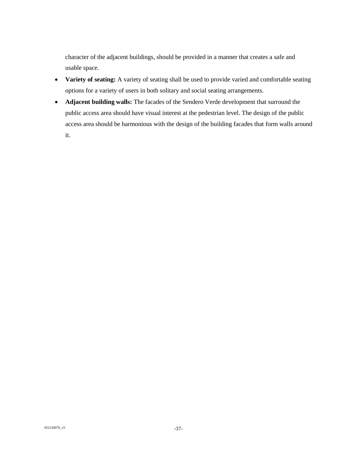character of the adjacent buildings, should be provided in a manner that creates a safe and usable space.

- **Variety of seating:** A variety of seating shall be used to provide varied and comfortable seating options for a variety of users in both solitary and social seating arrangements.
- **Adjacent building walls:** The facades of the Sendero Verde development that surround the public access area should have visual interest at the pedestrian level. The design of the public access area should be harmonious with the design of the building facades that form walls around it.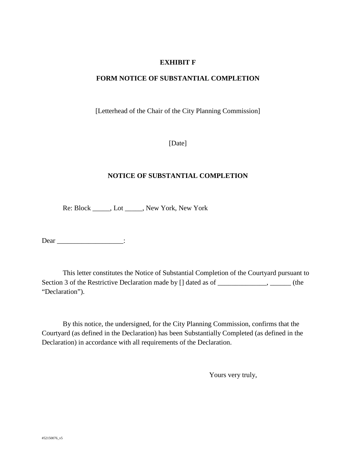## **EXHIBIT F**

### **FORM NOTICE OF SUBSTANTIAL COMPLETION**

[Letterhead of the Chair of the City Planning Commission]

[Date]

### **NOTICE OF SUBSTANTIAL COMPLETION**

Re: Block \_\_\_\_\_, Lot \_\_\_\_\_, New York, New York

Dear \_\_\_\_\_\_\_\_\_\_\_\_\_\_\_\_\_\_\_\_\_\_\_\_\_\_\_:

This letter constitutes the Notice of Substantial Completion of the Courtyard pursuant to Section 3 of the Restrictive Declaration made by [] dated as of \_\_\_\_\_\_\_\_\_\_\_\_, \_\_\_\_\_\_ (the "Declaration").

By this notice, the undersigned, for the City Planning Commission, confirms that the Courtyard (as defined in the Declaration) has been Substantially Completed (as defined in the Declaration) in accordance with all requirements of the Declaration.

Yours very truly,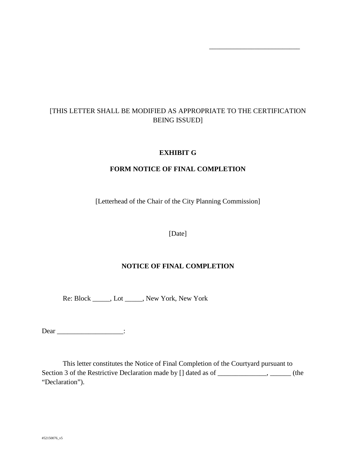# [THIS LETTER SHALL BE MODIFIED AS APPROPRIATE TO THE CERTIFICATION BEING ISSUED]

\_\_\_\_\_\_\_\_\_\_\_\_\_\_\_\_\_\_\_\_\_\_\_\_\_\_

## **EXHIBIT G**

### **FORM NOTICE OF FINAL COMPLETION**

[Letterhead of the Chair of the City Planning Commission]

### [Date]

## **NOTICE OF FINAL COMPLETION**

Re: Block \_\_\_\_\_, Lot \_\_\_\_\_, New York, New York

Dear \_\_\_\_\_\_\_\_\_\_\_\_\_\_\_\_\_\_\_:

This letter constitutes the Notice of Final Completion of the Courtyard pursuant to Section 3 of the Restrictive Declaration made by [] dated as of \_\_\_\_\_\_\_\_\_\_\_\_, \_\_\_\_\_\_ (the "Declaration").